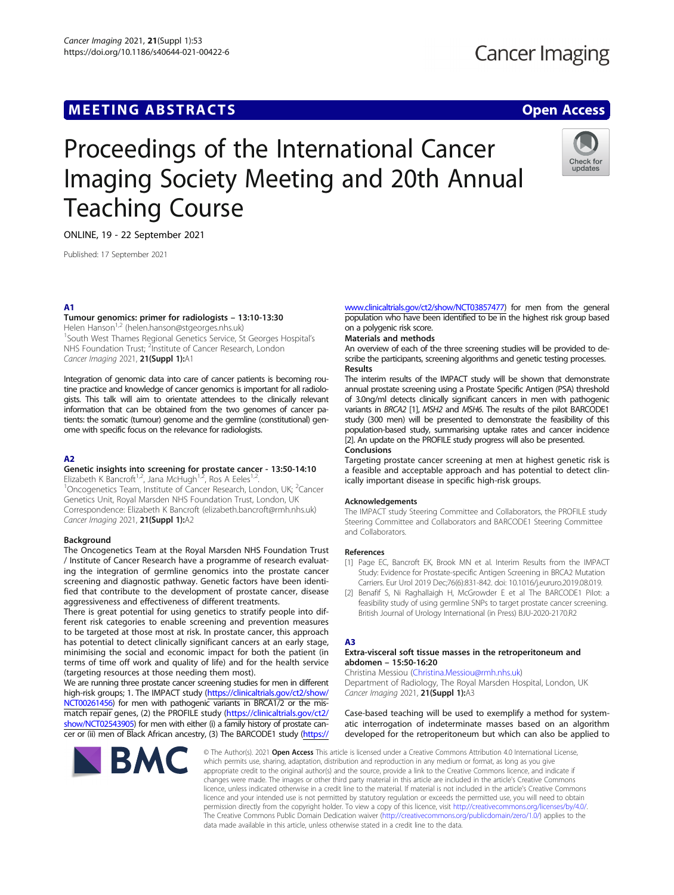# MEETING ABSTRACTS AND RESERVE THE STATE OPEN ACCESS

# Proceedings of the International Cancer Imaging Society Meeting and 20th Annual Teaching Course



ONLINE, 19 - 22 September 2021

Published: 17 September 2021

### **A1**

### Tumour genomics: primer for radiologists – 13:10-13:30

Helen Hanson<sup>1,2</sup> (helen.hanson@stgeorges.nhs.uk) <sup>1</sup>South West Thames Regional Genetics Service, St Georges Hospital's NHS Foundation Trust; <sup>2</sup>Institute of Cancer Research, London Cancer Imaging 2021, 21(Suppl 1):A1

Integration of genomic data into care of cancer patients is becoming routine practice and knowledge of cancer genomics is important for all radiologists. This talk will aim to orientate attendees to the clinically relevant information that can be obtained from the two genomes of cancer patients: the somatic (tumour) genome and the germline (constitutional) genome with specific focus on the relevance for radiologists.

### A2

### Genetic insights into screening for prostate cancer - 13:50-14:10 Elizabeth K Bancroft<sup>1,2</sup>, Jana McHugh<sup>1,2</sup>, Ros A Eeles<sup>1</sup>

Oncogenetics Team, Institute of Cancer Research, London, UK; <sup>2</sup>Cancer Genetics Unit, Royal Marsden NHS Foundation Trust, London, UK Correspondence: Elizabeth K Bancroft (elizabeth.bancroft@rmh.nhs.uk) Cancer Imaging 2021, 21(Suppl 1):A2

### **Background**

The Oncogenetics Team at the Royal Marsden NHS Foundation Trust / Institute of Cancer Research have a programme of research evaluating the integration of germline genomics into the prostate cancer screening and diagnostic pathway. Genetic factors have been identified that contribute to the development of prostate cancer, disease aggressiveness and effectiveness of different treatments.

There is great potential for using genetics to stratify people into different risk categories to enable screening and prevention measures to be targeted at those most at risk. In prostate cancer, this approach has potential to detect clinically significant cancers at an early stage, minimising the social and economic impact for both the patient (in terms of time off work and quality of life) and for the health service (targeting resources at those needing them most).

We are running three prostate cancer screening studies for men in different high-risk groups; 1. The IMPACT study [\(https://clinicaltrials.gov/ct2/show/](https://clinicaltrials.gov/ct2/show/NCT00261456) [NCT00261456](https://clinicaltrials.gov/ct2/show/NCT00261456)) for men with pathogenic variants in BRCA1/2 or the mismatch repair genes, (2) the PROFILE study [\(https://clinicaltrials.gov/ct2/](https://clinicaltrials.gov/ct2/show/NCT02543905) [show/NCT02543905](https://clinicaltrials.gov/ct2/show/NCT02543905)) for men with either (i) a family history of prostate cancer or (ii) men of Black African ancestry, (3) The BARCODE1 study [\(https://](https://www.clinicaltrials.gov/ct2/show/NCT03857477)

**BMC** 

[www.clinicaltrials.gov/ct2/show/NCT03857477\)](https://www.clinicaltrials.gov/ct2/show/NCT03857477) for men from the general population who have been identified to be in the highest risk group based on a polygenic risk score.

### Materials and methods

An overview of each of the three screening studies will be provided to describe the participants, screening algorithms and genetic testing processes. Results

The interim results of the IMPACT study will be shown that demonstrate annual prostate screening using a Prostate Specific Antigen (PSA) threshold of 3.0ng/ml detects clinically significant cancers in men with pathogenic variants in BRCA2 [1], MSH2 and MSH6. The results of the pilot BARCODE1 study (300 men) will be presented to demonstrate the feasibility of this population-based study, summarising uptake rates and cancer incidence [2]. An update on the PROFILE study progress will also be presented. Conclusions

Targeting prostate cancer screening at men at highest genetic risk is a feasible and acceptable approach and has potential to detect clinically important disease in specific high-risk groups.

### Acknowledgements

The IMPACT study Steering Committee and Collaborators, the PROFILE study Steering Committee and Collaborators and BARCODE1 Steering Committee and Collaborators.

### References

- [1] Page EC, Bancroft EK, Brook MN et al. Interim Results from the IMPACT Study: Evidence for Prostate-specific Antigen Screening in BRCA2 Mutation Carriers. Eur Urol 2019 Dec;76(6):831-842. doi: 10.1016/j.eururo.2019.08.019.
- [2] Benafif S, Ni Raghallaigh H, McGrowder E et al The BARCODE1 Pilot: a feasibility study of using germline SNPs to target prostate cancer screening. British Journal of Urology International (in Press) BJU-2020-2170.R2

### A3

### Extra-visceral soft tissue masses in the retroperitoneum and abdomen – 15:50-16:20

Christina Messiou ([Christina.Messiou@rmh.nhs.uk\)](mailto:Christina.Messiou@rmh.nhs.uk) Department of Radiology, The Royal Marsden Hospital, London, UK Cancer Imaging 2021, 21(Suppl 1):A3

### Case-based teaching will be used to exemplify a method for systematic interrogation of indeterminate masses based on an algorithm developed for the retroperitoneum but which can also be applied to

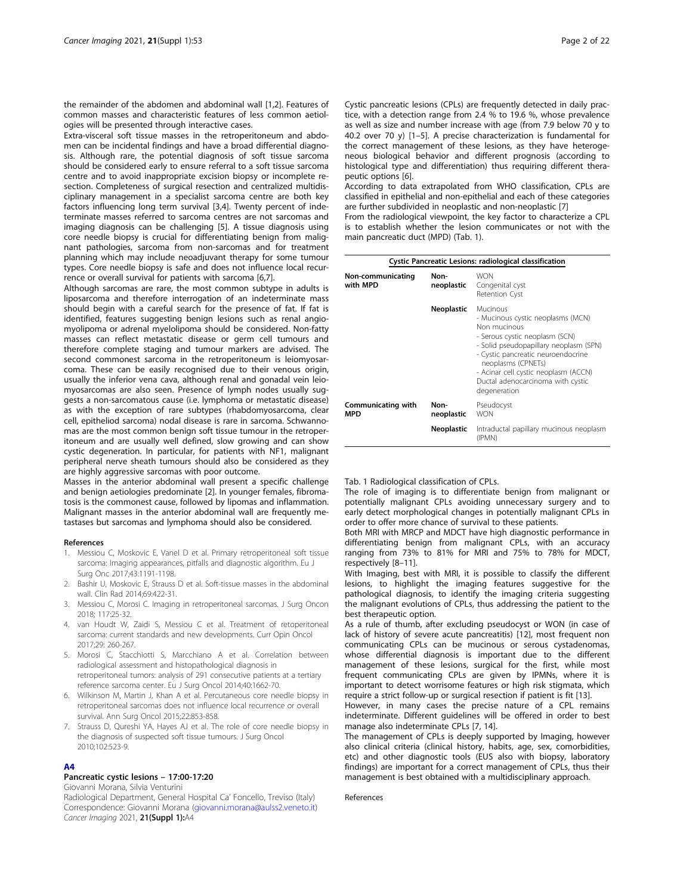the remainder of the abdomen and abdominal wall [1,2]. Features of common masses and characteristic features of less common aetiologies will be presented through interactive cases.

Extra-visceral soft tissue masses in the retroperitoneum and abdomen can be incidental findings and have a broad differential diagnosis. Although rare, the potential diagnosis of soft tissue sarcoma should be considered early to ensure referral to a soft tissue sarcoma centre and to avoid inappropriate excision biopsy or incomplete resection. Completeness of surgical resection and centralized multidisciplinary management in a specialist sarcoma centre are both key factors influencing long term survival [3,4]. Twenty percent of indeterminate masses referred to sarcoma centres are not sarcomas and imaging diagnosis can be challenging [5]. A tissue diagnosis using core needle biopsy is crucial for differentiating benign from malignant pathologies, sarcoma from non-sarcomas and for treatment planning which may include neoadjuvant therapy for some tumour types. Core needle biopsy is safe and does not influence local recurrence or overall survival for patients with sarcoma [6,7].

Although sarcomas are rare, the most common subtype in adults is liposarcoma and therefore interrogation of an indeterminate mass should begin with a careful search for the presence of fat. If fat is identified, features suggesting benign lesions such as renal angiomyolipoma or adrenal myelolipoma should be considered. Non-fatty masses can reflect metastatic disease or germ cell tumours and therefore complete staging and tumour markers are advised. The second commonest sarcoma in the retroperitoneum is leiomyosarcoma. These can be easily recognised due to their venous origin, usually the inferior vena cava, although renal and gonadal vein leiomyosarcomas are also seen. Presence of lymph nodes usually suggests a non-sarcomatous cause (i.e. lymphoma or metastatic disease) as with the exception of rare subtypes (rhabdomyosarcoma, clear cell, epitheliod sarcoma) nodal disease is rare in sarcoma. Schwannomas are the most common benign soft tissue tumour in the retroperitoneum and are usually well defined, slow growing and can show cystic degeneration. In particular, for patients with NF1, malignant peripheral nerve sheath tumours should also be considered as they are highly aggressive sarcomas with poor outcome.

Masses in the anterior abdominal wall present a specific challenge and benign aetiologies predominate [2]. In younger females, fibromatosis is the commonest cause, followed by lipomas and inflammation. Malignant masses in the anterior abdominal wall are frequently metastases but sarcomas and lymphoma should also be considered.

#### References

- 1. Messiou C, Moskovic E, Vanel D et al. Primary retroperitoneal soft tissue sarcoma: Imaging appearances, pitfalls and diagnostic algorithm. Eu J Surg Onc 2017;43:1191-1198.
- 2. Bashir U, Moskovic E, Strauss D et al. Soft-tissue masses in the abdominal wall. Clin Rad 2014;69:422-31.
- 3. Messiou C, Morosi C. Imaging in retroperitoneal sarcomas. J Surg Oncon 2018; 117:25-32.
- 4. van Houdt W, Zaidi S, Messiou C et al. Treatment of retoperitoneal sarcoma: current standards and new developments. Curr Opin Oncol 2017;29: 260-267.
- 5. Morosi C, Stacchiotti S, Marcchiano A et al. Correlation between radiological assessment and histopathological diagnosis in retroperitoneal tumors: analysis of 291 consecutive patients at a tertiary reference sarcoma center. Eu J Surg Oncol 2014;40:1662-70.
- 6. Wilkinson M, Martin J, Khan A et al. Percutaneous core needle biopsy in retroperitoneal sarcomas does not influence local recurrence or overall survival. Ann Surg Oncol 2015;22:853-858.
- 7. Strauss D, Qureshi YA, Hayes AJ et al. The role of core needle biopsy in the diagnosis of suspected soft tissue tumours. J Surg Oncol 2010;102:523-9.

#### A4

### Pancreatic cystic lesions – 17:00-17:20

Giovanni Morana, Silvia Venturini

Radiological Department, General Hospital Ca' Foncello, Treviso (Italy) Correspondence: Giovanni Morana ([giovanni.morana@aulss2.veneto.it\)](mailto:giovanni.morana@aulss2.veneto.it) Cancer Imaging 2021, 21(Suppl 1):A4

Cystic pancreatic lesions (CPLs) are frequently detected in daily practice, with a detection range from 2.4 % to 19.6 %, whose prevalence as well as size and number increase with age (from 7.9 below 70 y to 40.2 over 70 y) [1–5]. A precise characterization is fundamental for the correct management of these lesions, as they have heterogeneous biological behavior and different prognosis (according to histological type and differentiation) thus requiring different therapeutic options [6].

According to data extrapolated from WHO classification, CPLs are classified in epithelial and non-epithelial and each of these categories are further subdivided in neoplastic and non-neoplastic [7]

From the radiological viewpoint, the key factor to characterize a CPL is to establish whether the lesion communicates or not with the main pancreatic duct (MPD) (Tab. 1).

| <b>Cystic Pancreatic Lesions: radiological classification</b> |                    |                                                                                                                                                                                                                                                                                                    |
|---------------------------------------------------------------|--------------------|----------------------------------------------------------------------------------------------------------------------------------------------------------------------------------------------------------------------------------------------------------------------------------------------------|
| Non-communicating<br>with MPD                                 | Non-<br>neoplastic | <b>WON</b><br>Congenital cyst<br><b>Retention Cyst</b>                                                                                                                                                                                                                                             |
|                                                               | Neoplastic         | Mucinous<br>- Mucinous cystic neoplasms (MCN)<br>Non mucinous<br>- Serous cystic neoplasm (SCN)<br>- Solid pseudopapillary neoplasm (SPN)<br>- Cystic pancreatic neuroendocrine<br>neoplasms (CPNETs)<br>- Acinar cell cystic neoplasm (ACCN)<br>Ductal adenocarcinoma with cystic<br>degeneration |
| Communicating with<br>MPD                                     | Non-<br>neoplastic | Pseudocyst<br><b>WON</b>                                                                                                                                                                                                                                                                           |
|                                                               | Neoplastic         | Intraductal papillary mucinous neoplasm<br>(IPMN)                                                                                                                                                                                                                                                  |

Tab. 1 Radiological classification of CPLs.

The role of imaging is to differentiate benign from malignant or potentially malignant CPLs avoiding unnecessary surgery and to early detect morphological changes in potentially malignant CPLs in order to offer more chance of survival to these patients.

Both MRI with MRCP and MDCT have high diagnostic performance in differentiating benign from malignant CPLs, with an accuracy ranging from 73% to 81% for MRI and 75% to 78% for MDCT, respectively [8–11].

With Imaging, best with MRI, it is possible to classify the different lesions, to highlight the imaging features suggestive for the pathological diagnosis, to identify the imaging criteria suggesting the malignant evolutions of CPLs, thus addressing the patient to the best therapeutic option.

As a rule of thumb, after excluding pseudocyst or WON (in case of lack of history of severe acute pancreatitis) [12], most frequent non communicating CPLs can be mucinous or serous cystadenomas, whose differential diagnosis is important due to the different management of these lesions, surgical for the first, while most frequent communicating CPLs are given by IPMNs, where it is important to detect worrisome features or high risk stigmata, which require a strict follow-up or surgical resection if patient is fit [13].

However, in many cases the precise nature of a CPL remains indeterminate. Different guidelines will be offered in order to best manage also indeterminate CPLs [7, 14].

The management of CPLs is deeply supported by Imaging, however also clinical criteria (clinical history, habits, age, sex, comorbidities, etc) and other diagnostic tools (EUS also with biopsy, laboratory findings) are important for a correct management of CPLs, thus their management is best obtained with a multidisciplinary approach.

#### References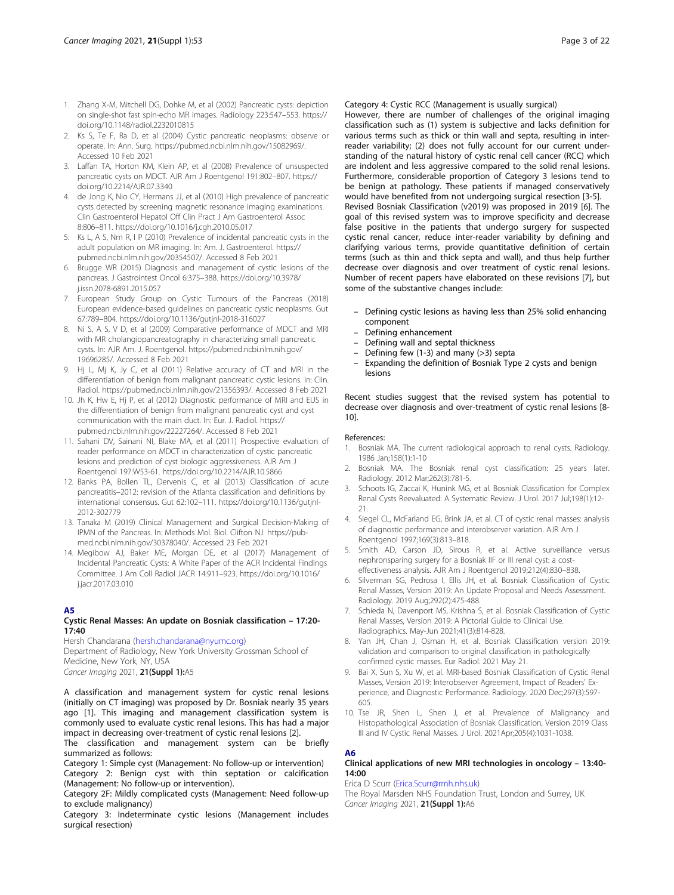- 1. Zhang X-M, Mitchell DG, Dohke M, et al (2002) Pancreatic cysts: depiction on single-shot fast spin-echo MR images. Radiology 223:547–553. https:// doi.org/10.1148/radiol.2232010815
- 2. Ks S, Te F, Ra D, et al (2004) Cystic pancreatic neoplasms: observe or operate. In: Ann. Surg. https://pubmed.ncbi.nlm.nih.gov/15082969/. Accessed 10 Feb 2021
- 3. Laffan TA, Horton KM, Klein AP, et al (2008) Prevalence of unsuspected pancreatic cysts on MDCT. AJR Am J Roentgenol 191:802–807. https:// doi.org/10.2214/AJR.07.3340
- 4. de Jong K, Nio CY, Hermans JJ, et al (2010) High prevalence of pancreatic cysts detected by screening magnetic resonance imaging examinations. Clin Gastroenterol Hepatol Off Clin Pract J Am Gastroenterol Assoc 8:806–811. https://doi.org/10.1016/j.cgh.2010.05.017
- 5. Ks L, A S, Nm R, I P (2010) Prevalence of incidental pancreatic cysts in the adult population on MR imaging. In: Am. J. Gastroenterol. https:// pubmed.ncbi.nlm.nih.gov/20354507/. Accessed 8 Feb 2021
- Brugge WR (2015) Diagnosis and management of cystic lesions of the pancreas. J Gastrointest Oncol 6:375–388. https://doi.org/10.3978/ j.issn.2078-6891.2015.057
- 7. European Study Group on Cystic Tumours of the Pancreas (2018) European evidence-based guidelines on pancreatic cystic neoplasms. Gut 67:789–804. https://doi.org/10.1136/gutjnl-2018-316027
- 8. Ni S, A S, V D, et al (2009) Comparative performance of MDCT and MRI with MR cholangiopancreatography in characterizing small pancreatic cysts. In: AJR Am. J. Roentgenol. https://pubmed.ncbi.nlm.nih.gov/ 19696285/. Accessed 8 Feb 2021
- Hj L, Mj K, Jy C, et al (2011) Relative accuracy of CT and MRI in the differentiation of benign from malignant pancreatic cystic lesions. In: Clin. Radiol. https://pubmed.ncbi.nlm.nih.gov/21356393/. Accessed 8 Feb 2021
- 10. Jh K, Hw E, Hj P, et al (2012) Diagnostic performance of MRI and EUS in the differentiation of benign from malignant pancreatic cyst and cyst communication with the main duct. In: Eur. J. Radiol. https:// pubmed.ncbi.nlm.nih.gov/22227264/. Accessed 8 Feb 2021
- 11. Sahani DV, Sainani NI, Blake MA, et al (2011) Prospective evaluation of reader performance on MDCT in characterization of cystic pancreatic lesions and prediction of cyst biologic aggressiveness. AJR Am J Roentgenol 197:W53-61. https://doi.org/10.2214/AJR.10.5866
- 12. Banks PA, Bollen TL, Dervenis C, et al (2013) Classification of acute pancreatitis–2012: revision of the Atlanta classification and definitions by international consensus. Gut 62:102–111. https://doi.org/10.1136/gutjnl-2012-302779
- 13. Tanaka M (2019) Clinical Management and Surgical Decision-Making of IPMN of the Pancreas. In: Methods Mol. Biol. Clifton NJ. https://pubmed.ncbi.nlm.nih.gov/30378040/. Accessed 23 Feb 2021
- 14. Megibow AJ, Baker ME, Morgan DE, et al (2017) Management of Incidental Pancreatic Cysts: A White Paper of the ACR Incidental Findings Committee. J Am Coll Radiol JACR 14:911–923. https://doi.org/10.1016/ j.jacr.2017.03.010

### A5

### Cystic Renal Masses: An update on Bosniak classification – 17:20- 17:40

Hersh Chandarana ([hersh.chandarana@nyumc.org](mailto:hersh.chandarana@nyumc.org)) Department of Radiology, New York University Grossman School of Medicine, New York, NY, USA

Cancer Imaging 2021, 21(Suppl 1):A5

A classification and management system for cystic renal lesions (initially on CT imaging) was proposed by Dr. Bosniak nearly 35 years ago [1]. This imaging and management classification system is commonly used to evaluate cystic renal lesions. This has had a major impact in decreasing over-treatment of cystic renal lesions [2].

The classification and management system can be briefly summarized as follows:

Category 1: Simple cyst (Management: No follow-up or intervention) Category 2: Benign cyst with thin septation or calcification (Management: No follow-up or intervention).

Category 2F: Mildly complicated cysts (Management: Need follow-up to exclude malignancy)

Category 3: Indeterminate cystic lesions (Management includes surgical resection)

### Category 4: Cystic RCC (Management is usually surgical)

However, there are number of challenges of the original imaging classification such as (1) system is subjective and lacks definition for various terms such as thick or thin wall and septa, resulting in interreader variability; (2) does not fully account for our current understanding of the natural history of cystic renal cell cancer (RCC) which are indolent and less aggressive compared to the solid renal lesions. Furthermore, considerable proportion of Category 3 lesions tend to be benign at pathology. These patients if managed conservatively would have benefited from not undergoing surgical resection [3-5].

Revised Bosniak Classification (v2019) was proposed in 2019 [6]. The goal of this revised system was to improve specificity and decrease false positive in the patients that undergo surgery for suspected cystic renal cancer, reduce inter-reader variability by defining and clarifying various terms, provide quantitative definition of certain terms (such as thin and thick septa and wall), and thus help further decrease over diagnosis and over treatment of cystic renal lesions. Number of recent papers have elaborated on these revisions [7], but some of the substantive changes include:

- Defining cystic lesions as having less than 25% solid enhancing component
- Defining enhancement
- Defining wall and septal thickness
- Defining few (1-3) and many ( $>$ 3) septa
- Expanding the definition of Bosniak Type 2 cysts and benign lesions

Recent studies suggest that the revised system has potential to decrease over diagnosis and over-treatment of cystic renal lesions [8- 10].

### References:

- 1. Bosniak MA. The current radiological approach to renal cysts. Radiology. 1986 Jan;158(1):1-10
- 2. Bosniak MA. The Bosniak renal cyst classification: 25 years later. Radiology. 2012 Mar;262(3):781-5.
- 3. Schoots IG, Zaccai K, Hunink MG, et al. Bosniak Classification for Complex Renal Cysts Reevaluated: A Systematic Review. J Urol. 2017 Jul;198(1):12- 21.
- 4. Siegel CL, McFarland EG, Brink JA, et al. CT of cystic renal masses: analysis of diagnostic performance and interobserver variation. AJR Am J Roentgenol 1997;169(3):813–818.
- 5. Smith AD, Carson JD, Sirous R, et al. Active surveillance versus nephronsparing surgery for a Bosniak IIF or III renal cyst: a costeffectiveness analysis. AJR Am J Roentgenol 2019;212(4):830–838.
- Silverman SG, Pedrosa I, Ellis JH, et al. Bosniak Classification of Cystic Renal Masses, Version 2019: An Update Proposal and Needs Assessment. Radiology. 2019 Aug;292(2):475-488.
- 7. Schieda N, Davenport MS, Krishna S, et al. Bosniak Classification of Cystic Renal Masses, Version 2019: A Pictorial Guide to Clinical Use. Radiographics. May-Jun 2021;41(3):814-828.
- 8. Yan JH, Chan J, Osman H, et al. Bosniak Classification version 2019: validation and comparison to original classification in pathologically confirmed cystic masses. Eur Radiol. 2021 May 21.
- Bai X, Sun S, Xu W, et al. MRI-based Bosniak Classification of Cystic Renal Masses, Version 2019: Interobserver Agreement, Impact of Readers' Experience, and Diagnostic Performance. Radiology. 2020 Dec;297(3):597- 605.
- 10. Tse JR, Shen L, Shen J, et al. Prevalence of Malignancy and Histopathological Association of Bosniak Classification, Version 2019 Class III and IV Cystic Renal Masses. J Urol. 2021Apr;205(4):1031-1038.

### A6

### Clinical applications of new MRI technologies in oncology – 13:40- 14:00

### Erica D Scurr ([Erica.Scurr@rmh.nhs.uk](mailto:Erica.Scurr@rmh.nhs.uk))

The Royal Marsden NHS Foundation Trust, London and Surrey, UK Cancer Imaging 2021, 21(Suppl 1):A6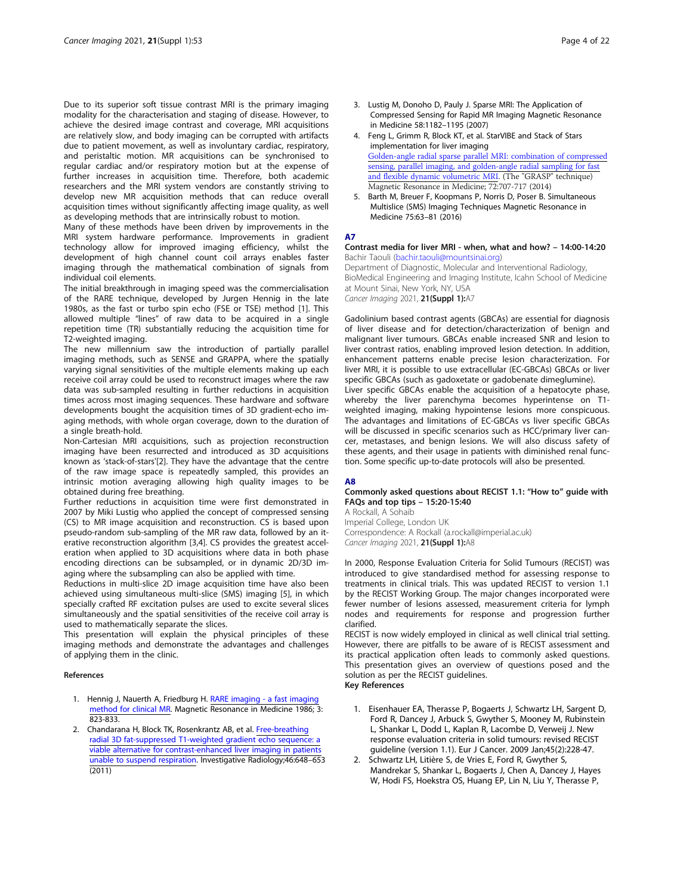Due to its superior soft tissue contrast MRI is the primary imaging modality for the characterisation and staging of disease. However, to achieve the desired image contrast and coverage, MRI acquisitions are relatively slow, and body imaging can be corrupted with artifacts due to patient movement, as well as involuntary cardiac, respiratory, and peristaltic motion. MR acquisitions can be synchronised to regular cardiac and/or respiratory motion but at the expense of further increases in acquisition time. Therefore, both academic researchers and the MRI system vendors are constantly striving to develop new MR acquisition methods that can reduce overall acquisition times without significantly affecting image quality, as well as developing methods that are intrinsically robust to motion.

Many of these methods have been driven by improvements in the MRI system hardware performance. Improvements in gradient technology allow for improved imaging efficiency, whilst the development of high channel count coil arrays enables faster imaging through the mathematical combination of signals from individual coil elements.

The initial breakthrough in imaging speed was the commercialisation of the RARE technique, developed by Jurgen Hennig in the late 1980s, as the fast or turbo spin echo (FSE or TSE) method [1]. This allowed multiple "lines" of raw data to be acquired in a single repetition time (TR) substantially reducing the acquisition time for T2-weighted imaging.

The new millennium saw the introduction of partially parallel imaging methods, such as SENSE and GRAPPA, where the spatially varying signal sensitivities of the multiple elements making up each receive coil array could be used to reconstruct images where the raw data was sub-sampled resulting in further reductions in acquisition times across most imaging sequences. These hardware and software developments bought the acquisition times of 3D gradient-echo imaging methods, with whole organ coverage, down to the duration of a single breath-hold.

Non-Cartesian MRI acquisitions, such as projection reconstruction imaging have been resurrected and introduced as 3D acquisitions known as 'stack-of-stars'[2]. They have the advantage that the centre of the raw image space is repeatedly sampled, this provides an intrinsic motion averaging allowing high quality images to be obtained during free breathing.

Further reductions in acquisition time were first demonstrated in 2007 by Miki Lustig who applied the concept of compressed sensing (CS) to MR image acquisition and reconstruction. CS is based upon pseudo-random sub-sampling of the MR raw data, followed by an iterative reconstruction algorithm [3,4]. CS provides the greatest acceleration when applied to 3D acquisitions where data in both phase encoding directions can be subsampled, or in dynamic 2D/3D imaging where the subsampling can also be applied with time.

Reductions in multi-slice 2D image acquisition time have also been achieved using simultaneous multi-slice (SMS) imaging [5], in which specially crafted RF excitation pulses are used to excite several slices simultaneously and the spatial sensitivities of the receive coil array is used to mathematically separate the slices.

This presentation will explain the physical principles of these imaging methods and demonstrate the advantages and challenges of applying them in the clinic.

#### References

- 1. Hennig J, Nauerth A, Friedburg H. [RARE imaging a fast imaging](http://www.mriquestions.com/uploads/3/4/5/7/34572113/hennig-rare.pdf) [method for clinical MR.](http://www.mriquestions.com/uploads/3/4/5/7/34572113/hennig-rare.pdf) Magnetic Resonance in Medicine 1986; 3: 823-833.
- 2. Chandarana H, Block TK, Rosenkrantz AB, et al. [Free-breathing](http://www.mriquestions.com/uploads/3/4/5/7/34572113/star_vibe.pdf) [radial 3D fat-suppressed T1-weighted gradient echo sequence: a](http://www.mriquestions.com/uploads/3/4/5/7/34572113/star_vibe.pdf) [viable alternative for contrast-enhanced liver imaging in patients](http://www.mriquestions.com/uploads/3/4/5/7/34572113/star_vibe.pdf) [unable to suspend respiration.](http://www.mriquestions.com/uploads/3/4/5/7/34572113/star_vibe.pdf) Investigative Radiology;46:648–653 (2011)
- 3. Lustig M, Donoho D, Pauly J. Sparse MRI: The Application of Compressed Sensing for Rapid MR Imaging Magnetic Resonance in Medicine 58:1182–1195 (2007)
- 4. Feng L, Grimm R, Block KT, et al. StarVIBE and Stack of Stars implementation for liver imaging [Golden-angle radial sparse parallel MRI: combination of compressed](http://www.mriquestions.com/uploads/3/4/5/7/34572113/grasp_feng_et_al-2014-magnetic_resonance_in_medicine.pdf) [sensing, parallel imaging, and golden-angle radial sampling for fast](http://www.mriquestions.com/uploads/3/4/5/7/34572113/grasp_feng_et_al-2014-magnetic_resonance_in_medicine.pdf) [and flexible dynamic volumetric MRI](http://www.mriquestions.com/uploads/3/4/5/7/34572113/grasp_feng_et_al-2014-magnetic_resonance_in_medicine.pdf). (The "GRASP" technique) Magnetic Resonance in Medicine; 72:707-717 (2014)
- Barth M, Breuer F, Koopmans P, Norris D, Poser B. Simultaneous Multislice (SMS) Imaging Techniques Magnetic Resonance in Medicine 75:63–81 (2016)

#### **A7**

### Contrast media for liver MRI - when, what and how? – 14:00-14:20 Bachir Taouli ([bachir.taouli@mountsinai.org\)](mailto:bachir.taouli@mountsinai.org)

Department of Diagnostic, Molecular and Interventional Radiology, BioMedical Engineering and Imaging Institute, Icahn School of Medicine at Mount Sinai, New York, NY, USA

Cancer Imaging 2021, 21(Suppl 1):A7

Gadolinium based contrast agents (GBCAs) are essential for diagnosis of liver disease and for detection/characterization of benign and malignant liver tumours. GBCAs enable increased SNR and lesion to liver contrast ratios, enabling improved lesion detection. In addition, enhancement patterns enable precise lesion characterization. For liver MRI, it is possible to use extracellular (EC-GBCAs) GBCAs or liver specific GBCAs (such as gadoxetate or gadobenate dimeglumine). Liver specific GBCAs enable the acquisition of a hepatocyte phase, whereby the liver parenchyma becomes hyperintense on T1 weighted imaging, making hypointense lesions more conspicuous. The advantages and limitations of EC-GBCAs vs liver specific GBCAs will be discussed in specific scenarios such as HCC/primary liver cancer, metastases, and benign lesions. We will also discuss safety of these agents, and their usage in patients with diminished renal function. Some specific up-to-date protocols will also be presented.

#### A8

### Commonly asked questions about RECIST 1.1: "How to" guide with FAQs and top tips – 15:20-15:40

A Rockall, A Sohaib

Imperial College, London UK Correspondence: A Rockall (a.rockall@imperial.ac.uk) Cancer Imaging 2021, 21(Suppl 1):A8

In 2000, Response Evaluation Criteria for Solid Tumours (RECIST) was introduced to give standardised method for assessing response to treatments in clinical trials. This was updated RECIST to version 1.1 by the RECIST Working Group. The major changes incorporated were fewer number of lesions assessed, measurement criteria for lymph nodes and requirements for response and progression further clarified.

RECIST is now widely employed in clinical as well clinical trial setting. However, there are pitfalls to be aware of is RECIST assessment and its practical application often leads to commonly asked questions. This presentation gives an overview of questions posed and the solution as per the RECIST guidelines. Key References

- 1. Eisenhauer EA, Therasse P, Bogaerts J, Schwartz LH, Sargent D, Ford R, Dancey J, Arbuck S, Gwyther S, Mooney M, Rubinstein L, Shankar L, Dodd L, Kaplan R, Lacombe D, Verweij J. New response evaluation criteria in solid tumours: revised RECIST guideline (version 1.1). Eur J Cancer. 2009 Jan;45(2):228-47.
- 2. Schwartz LH, Litière S, de Vries E, Ford R, Gwyther S, Mandrekar S, Shankar L, Bogaerts J, Chen A, Dancey J, Hayes W, Hodi FS, Hoekstra OS, Huang EP, Lin N, Liu Y, Therasse P,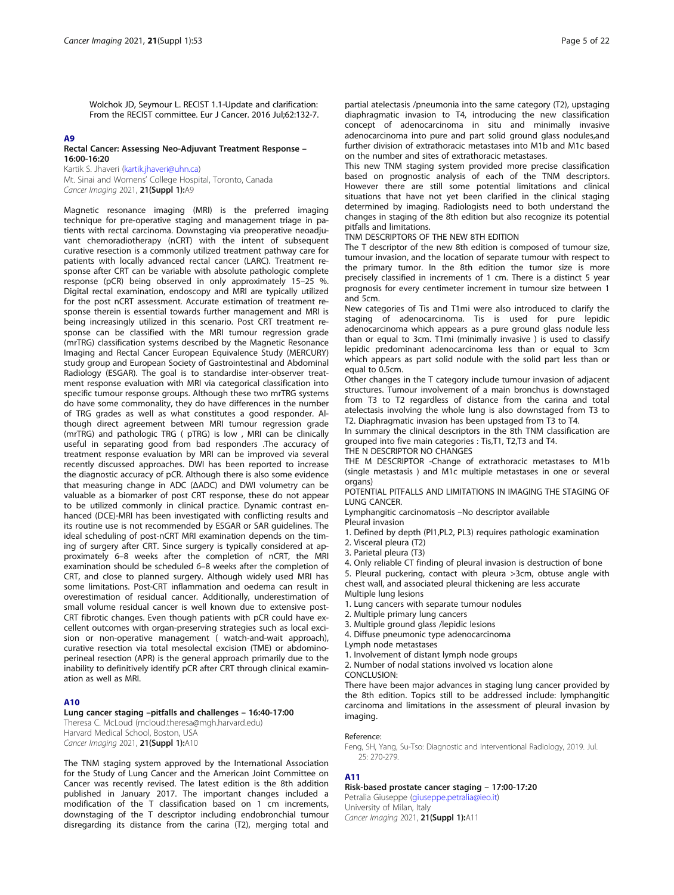Wolchok JD, Seymour L. RECIST 1.1-Update and clarification: From the RECIST committee. Eur J Cancer. 2016 Jul;62:132-7.

#### A9

### Rectal Cancer: Assessing Neo-Adjuvant Treatment Response – 16:00-16:20

Kartik S. Jhaveri ([kartik.jhaveri@uhn.ca](mailto:kartik.jhaveri@uhn.ca)) Mt. Sinai and Womens' College Hospital, Toronto, Canada Cancer Imaging 2021, 21(Suppl 1):A9

Magnetic resonance imaging (MRI) is the preferred imaging technique for pre-operative staging and management triage in patients with rectal carcinoma. Downstaging via preoperative neoadjuvant chemoradiotherapy (nCRT) with the intent of subsequent curative resection is a commonly utilized treatment pathway care for patients with locally advanced rectal cancer (LARC). Treatment response after CRT can be variable with absolute pathologic complete response (pCR) being observed in only approximately 15–25 %. Digital rectal examination, endoscopy and MRI are typically utilized for the post nCRT assessment. Accurate estimation of treatment response therein is essential towards further management and MRI is being increasingly utilized in this scenario. Post CRT treatment response can be classified with the MRI tumour regression grade (mrTRG) classification systems described by the Magnetic Resonance Imaging and Rectal Cancer European Equivalence Study (MERCURY) study group and European Society of Gastrointestinal and Abdominal Radiology (ESGAR). The goal is to standardise inter-observer treatment response evaluation with MRI via categorical classification into specific tumour response groups. Although these two mrTRG systems do have some commonality, they do have differences in the number of TRG grades as well as what constitutes a good responder. Although direct agreement between MRI tumour regression grade (mrTRG) and pathologic TRG ( pTRG) is low , MRI can be clinically useful in separating good from bad responders .The accuracy of treatment response evaluation by MRI can be improved via several recently discussed approaches. DWI has been reported to increase the diagnostic accuracy of pCR. Although there is also some evidence that measuring change in ADC (ΔADC) and DWI volumetry can be valuable as a biomarker of post CRT response, these do not appear to be utilized commonly in clinical practice. Dynamic contrast enhanced (DCE)-MRI has been investigated with conflicting results and its routine use is not recommended by ESGAR or SAR guidelines. The ideal scheduling of post-nCRT MRI examination depends on the timing of surgery after CRT. Since surgery is typically considered at approximately 6–8 weeks after the completion of nCRT, the MRI examination should be scheduled 6–8 weeks after the completion of CRT, and close to planned surgery. Although widely used MRI has some limitations. Post-CRT inflammation and oedema can result in overestimation of residual cancer. Additionally, underestimation of small volume residual cancer is well known due to extensive post-CRT fibrotic changes. Even though patients with pCR could have excellent outcomes with organ-preserving strategies such as local excision or non-operative management ( watch-and-wait approach), curative resection via total mesolectal excision (TME) or abdominoperineal resection (APR) is the general approach primarily due to the inability to definitively identify pCR after CRT through clinical examination as well as MRI.

### A10

#### Lung cancer staging –pitfalls and challenges – 16:40-17:00

Theresa C. McLoud (mcloud.theresa@mgh.harvard.edu) Harvard Medical School, Boston, USA Cancer Imaging 2021, 21(Suppl 1):A10

The TNM staging system approved by the International Association for the Study of Lung Cancer and the American Joint Committee on Cancer was recently revised. The latest edition is the 8th addition published in January 2017. The important changes included a modification of the T classification based on 1 cm increments, downstaging of the T descriptor including endobronchial tumour disregarding its distance from the carina (T2), merging total and

partial atelectasis /pneumonia into the same category (T2), upstaging diaphragmatic invasion to T4, introducing the new classification concept of adenocarcinoma in situ and minimally invasive adenocarcinoma into pure and part solid ground glass nodules,and further division of extrathoracic metastases into M1b and M1c based on the number and sites of extrathoracic metastases.

This new TNM staging system provided more precise classification based on prognostic analysis of each of the TNM descriptors. However there are still some potential limitations and clinical situations that have not yet been clarified in the clinical staging determined by imaging. Radiologists need to both understand the changes in staging of the 8th edition but also recognize its potential pitfalls and limitations.

### TNM DESCRIPTORS OF THE NEW 8TH EDITION

The T descriptor of the new 8th edition is composed of tumour size, tumour invasion, and the location of separate tumour with respect to the primary tumor. In the 8th edition the tumor size is more precisely classified in increments of 1 cm. There is a distinct 5 year prognosis for every centimeter increment in tumour size between 1 and 5cm.

New categories of Tis and T1mi were also introduced to clarify the staging of adenocarcinoma. Tis is used for pure lepidic adenocarcinoma which appears as a pure ground glass nodule less than or equal to 3cm. T1mi (minimally invasive ) is used to classify lepidic predominant adenocarcinoma less than or equal to 3cm which appears as part solid nodule with the solid part less than or equal to 0.5cm.

Other changes in the T category include tumour invasion of adjacent structures. Tumour involvement of a main bronchus is downstaged from T3 to T2 regardless of distance from the carina and total atelectasis involving the whole lung is also downstaged from T3 to T2. Diaphragmatic invasion has been upstaged from T3 to T4.

In summary the clinical descriptors in the 8th TNM classification are grouped into five main categories : Tis,T1, T2,T3 and T4.

THE N DESCRIPTOR NO CHANGES

THE M DESCRIPTOR -Change of extrathoracic metastases to M1b (single metastasis ) and M1c multiple metastases in one or several organs)

POTENTIAL PITFALLS AND LIMITATIONS IN IMAGING THE STAGING OF LUNG CANCER.

Lymphangitic carcinomatosis –No descriptor available

Pleural invasion

- 1. Defined by depth (Pl1,PL2, PL3) requires pathologic examination
- 2. Visceral pleura (T2)
- 3. Parietal pleura (T3)

4. Only reliable CT finding of pleural invasion is destruction of bone

5. Pleural puckering, contact with pleura >3cm, obtuse angle with

chest wall, and associated pleural thickening are less accurate Multiple lung lesions

- 1. Lung cancers with separate tumour nodules
- 2. Multiple primary lung cancers
- 3. Multiple ground glass /lepidic lesions
- 4. Diffuse pneumonic type adenocarcinoma

Lymph node metastases

- 1. Involvement of distant lymph node groups
- 2. Number of nodal stations involved vs location alone

CONCLUSION:

There have been major advances in staging lung cancer provided by the 8th edition. Topics still to be addressed include: lymphangitic carcinoma and limitations in the assessment of pleural invasion by imaging.

### Reference:

Feng, SH, Yang, Su-Tso: Diagnostic and Interventional Radiology, 2019. Jul. 25: 270-279.

### A11

#### Risk-based prostate cancer staging – 17:00-17:20

Petralia Giuseppe ([giuseppe.petralia@ieo.it](mailto:giuseppe.petralia@ieo.it)) University of Milan, Italy

Cancer Imaging 2021, 21(Suppl 1):A11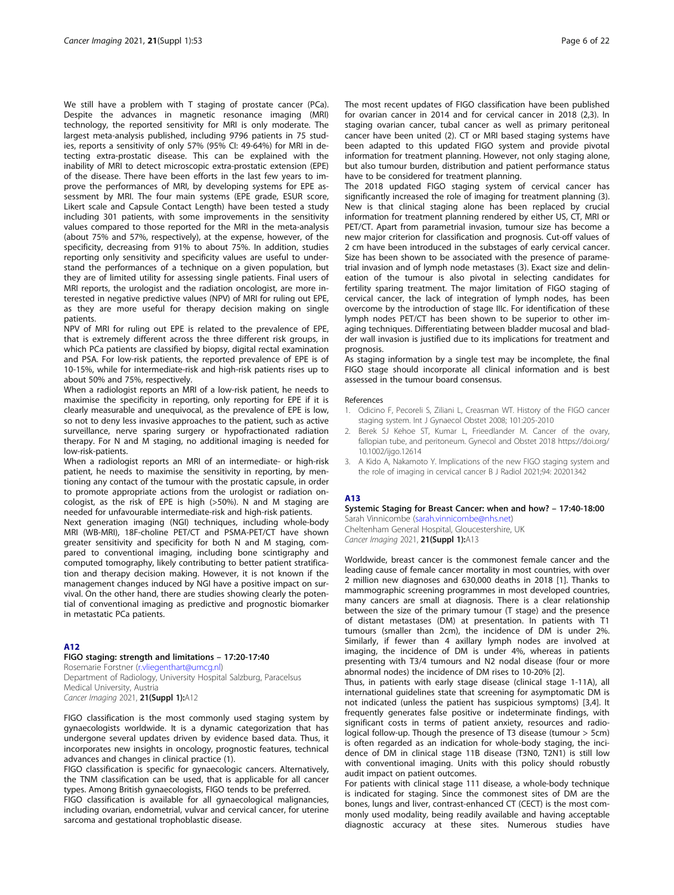We still have a problem with T staging of prostate cancer (PCa). Despite the advances in magnetic resonance imaging (MRI) technology, the reported sensitivity for MRI is only moderate. The largest meta-analysis published, including 9796 patients in 75 studies, reports a sensitivity of only 57% (95% CI: 49-64%) for MRI in detecting extra-prostatic disease. This can be explained with the inability of MRI to detect microscopic extra-prostatic extension (EPE) of the disease. There have been efforts in the last few years to improve the performances of MRI, by developing systems for EPE assessment by MRI. The four main systems (EPE grade, ESUR score, Likert scale and Capsule Contact Length) have been tested a study including 301 patients, with some improvements in the sensitivity values compared to those reported for the MRI in the meta-analysis (about 75% and 57%, respectively), at the expense, however, of the specificity, decreasing from 91% to about 75%. In addition, studies reporting only sensitivity and specificity values are useful to understand the performances of a technique on a given population, but they are of limited utility for assessing single patients. Final users of MRI reports, the urologist and the radiation oncologist, are more interested in negative predictive values (NPV) of MRI for ruling out EPE, as they are more useful for therapy decision making on single patients.

NPV of MRI for ruling out EPE is related to the prevalence of EPE, that is extremely different across the three different risk groups, in which PCa patients are classified by biopsy, digital rectal examination and PSA. For low-risk patients, the reported prevalence of EPE is of 10-15%, while for intermediate-risk and high-risk patients rises up to about 50% and 75%, respectively.

When a radiologist reports an MRI of a low-risk patient, he needs to maximise the specificity in reporting, only reporting for EPE if it is clearly measurable and unequivocal, as the prevalence of EPE is low, so not to deny less invasive approaches to the patient, such as active surveillance, nerve sparing surgery or hypofractionated radiation therapy. For N and M staging, no additional imaging is needed for low-risk-patients.

When a radiologist reports an MRI of an intermediate- or high-risk patient, he needs to maximise the sensitivity in reporting, by mentioning any contact of the tumour with the prostatic capsule, in order to promote appropriate actions from the urologist or radiation oncologist, as the risk of EPE is high (>50%). N and M staging are needed for unfavourable intermediate-risk and high-risk patients.

Next generation imaging (NGI) techniques, including whole-body MRI (WB-MRI), 18F-choline PET/CT and PSMA-PET/CT have shown greater sensitivity and specificity for both N and M staging, compared to conventional imaging, including bone scintigraphy and computed tomography, likely contributing to better patient stratification and therapy decision making. However, it is not known if the management changes induced by NGI have a positive impact on survival. On the other hand, there are studies showing clearly the potential of conventional imaging as predictive and prognostic biomarker in metastatic PCa patients.

### A12

### FIGO staging: strength and limitations – 17:20-17:40

Rosemarie Forstner [\(r.vliegenthart@umcg.nl](mailto:r.vliegenthart@umcg.nl)) Department of Radiology, University Hospital Salzburg, Paracelsus Medical University, Austria Cancer Imaging 2021, 21(Suppl 1):A12

FIGO classification is the most commonly used staging system by gynaecologists worldwide. It is a dynamic categorization that has undergone several updates driven by evidence based data. Thus, it incorporates new insights in oncology, prognostic features, technical advances and changes in clinical practice (1).

FIGO classification is specific for gynaecologic cancers. Alternatively, the TNM classification can be used, that is applicable for all cancer types. Among British gynaecologists, FIGO tends to be preferred.

FIGO classification is available for all gynaecological malignancies, including ovarian, endometrial, vulvar and cervical cancer, for uterine sarcoma and gestational trophoblastic disease.

The most recent updates of FIGO classification have been published for ovarian cancer in 2014 and for cervical cancer in 2018 (2,3). In staging ovarian cancer, tubal cancer as well as primary peritoneal cancer have been united (2). CT or MRI based staging systems have been adapted to this updated FIGO system and provide pivotal information for treatment planning. However, not only staging alone, but also tumour burden, distribution and patient performance status have to be considered for treatment planning.

The 2018 updated FIGO staging system of cervical cancer has significantly increased the role of imaging for treatment planning (3). New is that clinical staging alone has been replaced by crucial information for treatment planning rendered by either US, CT, MRI or PET/CT. Apart from parametrial invasion, tumour size has become a new major criterion for classification and prognosis. Cut-off values of 2 cm have been introduced in the substages of early cervical cancer. Size has been shown to be associated with the presence of parametrial invasion and of lymph node metastases (3). Exact size and delineation of the tumour is also pivotal in selecting candidates for fertility sparing treatment. The major limitation of FIGO staging of cervical cancer, the lack of integration of lymph nodes, has been overcome by the introduction of stage IIIc. For identification of these lymph nodes PET/CT has been shown to be superior to other imaging techniques. Differentiating between bladder mucosal and bladder wall invasion is justified due to its implications for treatment and prognosis.

As staging information by a single test may be incomplete, the final FIGO stage should incorporate all clinical information and is best assessed in the tumour board consensus.

#### References

- 1. Odicino F, Pecoreli S, Ziliani L, Creasman WT. History of the FIGO cancer staging system. Int J Gynaecol Obstet 2008; 101:205-2010
- 2. Berek SJ Kehoe ST, Kumar L, Frieedlander M. Cancer of the ovary, fallopian tube, and peritoneum. Gynecol and Obstet 2018 https://doi.org/ 10.1002/ijgo.12614
- 3. A Kido A, Nakamoto Y. Implications of the new FIGO staging system and the role of imaging in cervical cancer B J Radiol 2021;94: 20201342

#### A13

### Systemic Staging for Breast Cancer: when and how? – 17:40-18:00

Sarah Vinnicombe [\(sarah.vinnicombe@nhs.net\)](mailto:sarah.vinnicombe@nhs.net) Cheltenham General Hospital, Gloucestershire, UK Cancer Imaging 2021, 21(Suppl 1):A13

Worldwide, breast cancer is the commonest female cancer and the leading cause of female cancer mortality in most countries, with over 2 million new diagnoses and 630,000 deaths in 2018 [1]. Thanks to mammographic screening programmes in most developed countries, many cancers are small at diagnosis. There is a clear relationship between the size of the primary tumour (T stage) and the presence of distant metastases (DM) at presentation. In patients with T1 tumours (smaller than 2cm), the incidence of DM is under 2%. Similarly, if fewer than 4 axillary lymph nodes are involved at imaging, the incidence of DM is under 4%, whereas in patients presenting with T3/4 tumours and N2 nodal disease (four or more abnormal nodes) the incidence of DM rises to 10-20% [2].

Thus, in patients with early stage disease (clinical stage 1-11A), all international guidelines state that screening for asymptomatic DM is not indicated (unless the patient has suspicious symptoms) [3,4]. It frequently generates false positive or indeterminate findings, with significant costs in terms of patient anxiety, resources and radiological follow-up. Though the presence of T3 disease (tumour > 5cm) is often regarded as an indication for whole-body staging, the incidence of DM in clinical stage 11B disease (T3N0, T2N1) is still low with conventional imaging. Units with this policy should robustly audit impact on patient outcomes.

For patients with clinical stage 111 disease, a whole-body technique is indicated for staging. Since the commonest sites of DM are the bones, lungs and liver, contrast-enhanced CT (CECT) is the most commonly used modality, being readily available and having acceptable diagnostic accuracy at these sites. Numerous studies have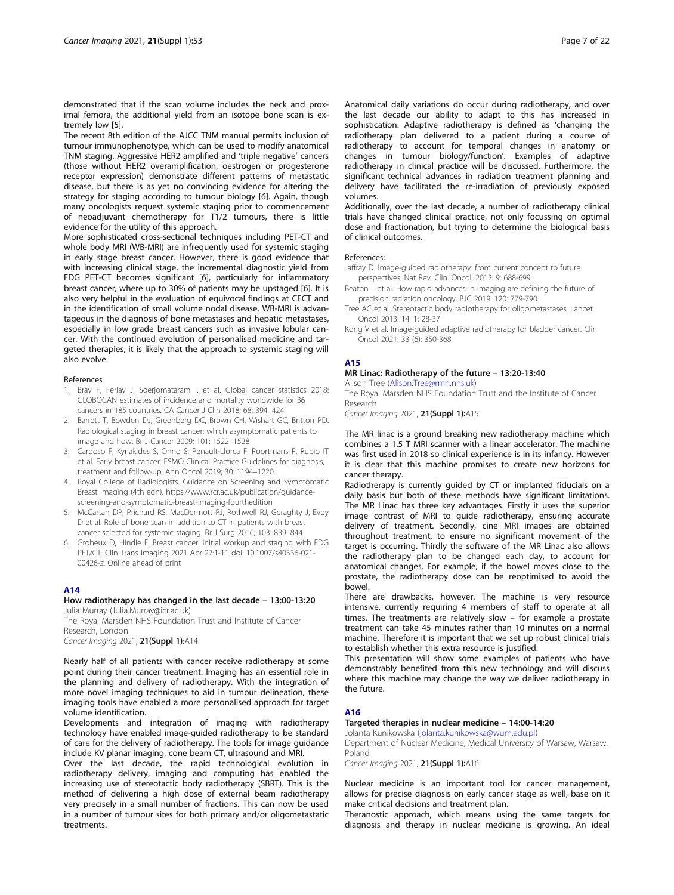demonstrated that if the scan volume includes the neck and proximal femora, the additional yield from an isotope bone scan is extremely low [5].

The recent 8th edition of the AJCC TNM manual permits inclusion of tumour immunophenotype, which can be used to modify anatomical TNM staging. Aggressive HER2 amplified and 'triple negative' cancers (those without HER2 overamplification, oestrogen or progesterone receptor expression) demonstrate different patterns of metastatic disease, but there is as yet no convincing evidence for altering the strategy for staging according to tumour biology [6]. Again, though many oncologists request systemic staging prior to commencement of neoadjuvant chemotherapy for T1/2 tumours, there is little evidence for the utility of this approach.

More sophisticated cross-sectional techniques including PET-CT and whole body MRI (WB-MRI) are infrequently used for systemic staging in early stage breast cancer. However, there is good evidence that with increasing clinical stage, the incremental diagnostic yield from FDG PET-CT becomes significant [6], particularly for inflammatory breast cancer, where up to 30% of patients may be upstaged [6]. It is also very helpful in the evaluation of equivocal findings at CECT and in the identification of small volume nodal disease. WB-MRI is advantageous in the diagnosis of bone metastases and hepatic metastases, especially in low grade breast cancers such as invasive lobular cancer. With the continued evolution of personalised medicine and targeted therapies, it is likely that the approach to systemic staging will also evolve.

#### References

- 1. Bray F, Ferlay J, Soerjomataram I. et al. Global cancer statistics 2018: GLOBOCAN estimates of incidence and mortality worldwide for 36 cancers in 185 countries. CA Cancer J Clin 2018; 68: 394–424
- 2. Barrett T, Bowden DJ, Greenberg DC, Brown CH, Wishart GC, Britton PD. Radiological staging in breast cancer: which asymptomatic patients to image and how. Br J Cancer 2009; 101: 1522–1528
- 3. Cardoso F, Kyriakides S, Ohno S, Penault-Llorca F, Poortmans P, Rubio IT et al. Early breast cancer: ESMO Clinical Practice Guidelines for diagnosis, treatment and follow-up. Ann Oncol 2019; 30: 1194–1220
- 4. Royal College of Radiologists. Guidance on Screening and Symptomatic Breast Imaging (4th edn). https://www.rcr.ac.uk/publication/guidancescreening-and-symptomatic-breast-imaging-fourthedition
- 5. McCartan DP, Prichard RS, MacDermott RJ, Rothwell RJ, Geraghty J, Evoy D et al. Role of bone scan in addition to CT in patients with breast cancer selected for systemic staging. Br J Surg 2016; 103: 839–844
- 6. Groheux D, Hindie E. Breast cancer: initial workup and staging with FDG PET/CT. Clin Trans Imaging 2021 Apr 27:1-11 doi: 10.1007/s40336-021- 00426-z. Online ahead of print

### A14

### How radiotherapy has changed in the last decade – 13:00-13:20 Julia Murray (Julia.Murray@icr.ac.uk)

The Royal Marsden NHS Foundation Trust and Institute of Cancer Research, London Cancer Imaging 2021, 21(Suppl 1):A14

Nearly half of all patients with cancer receive radiotherapy at some point during their cancer treatment. Imaging has an essential role in the planning and delivery of radiotherapy. With the integration of more novel imaging techniques to aid in tumour delineation, these imaging tools have enabled a more personalised approach for target

volume identification. Developments and integration of imaging with radiotherapy technology have enabled image-guided radiotherapy to be standard of care for the delivery of radiotherapy. The tools for image guidance include KV planar imaging, cone beam CT, ultrasound and MRI.

Over the last decade, the rapid technological evolution in radiotherapy delivery, imaging and computing has enabled the increasing use of stereotactic body radiotherapy (SBRT). This is the method of delivering a high dose of external beam radiotherapy very precisely in a small number of fractions. This can now be used in a number of tumour sites for both primary and/or oligometastatic treatments.

Anatomical daily variations do occur during radiotherapy, and over the last decade our ability to adapt to this has increased in sophistication. Adaptive radiotherapy is defined as 'changing the radiotherapy plan delivered to a patient during a course of radiotherapy to account for temporal changes in anatomy or changes in tumour biology/function'. Examples of adaptive radiotherapy in clinical practice will be discussed. Furthermore, the significant technical advances in radiation treatment planning and delivery have facilitated the re-irradiation of previously exposed volumes.

Additionally, over the last decade, a number of radiotherapy clinical trials have changed clinical practice, not only focussing on optimal dose and fractionation, but trying to determine the biological basis of clinical outcomes.

### References:

- Jaffray D. Image-guided radiotherapy: from current concept to future perspectives. Nat Rev. Clin. Oncol. 2012: 9: 688-699
- Beaton L et al. How rapid advances in imaging are defining the future of precision radiation oncology. BJC 2019: 120: 779-790
- Tree AC et al. Stereotactic body radiotherapy for oligometastases. Lancet Oncol 2013: 14: 1: 28-37
- Kong V et al. Image-guided adaptive radiotherapy for bladder cancer. Clin Oncol 2021: 33 (6): 350-368

### A15

### MR Linac: Radiotherapy of the future – 13:20-13:40

Alison Tree ([Alison.Tree@rmh.nhs.uk](mailto:Alison.Tree@rmh.nhs.uk))

The Royal Marsden NHS Foundation Trust and the Institute of Cancer Research

Cancer Imaging 2021, 21(Suppl 1):A15

The MR linac is a ground breaking new radiotherapy machine which combines a 1.5 T MRI scanner with a linear accelerator. The machine was first used in 2018 so clinical experience is in its infancy. However it is clear that this machine promises to create new horizons for cancer therapy.

Radiotherapy is currently guided by CT or implanted fiducials on a daily basis but both of these methods have significant limitations. The MR Linac has three key advantages. Firstly it uses the superior image contrast of MRI to guide radiotherapy, ensuring accurate delivery of treatment. Secondly, cine MRI images are obtained throughout treatment, to ensure no significant movement of the target is occurring. Thirdly the software of the MR Linac also allows the radiotherapy plan to be changed each day, to account for anatomical changes. For example, if the bowel moves close to the prostate, the radiotherapy dose can be reoptimised to avoid the bowel.

There are drawbacks, however. The machine is very resource intensive, currently requiring 4 members of staff to operate at all times. The treatments are relatively slow – for example a prostate treatment can take 45 minutes rather than 10 minutes on a normal machine. Therefore it is important that we set up robust clinical trials to establish whether this extra resource is justified.

This presentation will show some examples of patients who have demonstrably benefited from this new technology and will discuss where this machine may change the way we deliver radiotherapy in the future.

### A16

### Targeted therapies in nuclear medicine – 14:00-14:20

Jolanta Kunikowska [\(jolanta.kunikowska@wum.edu.pl](mailto:jolanta.kunikowska@wum.edu.pl))

Department of Nuclear Medicine, Medical University of Warsaw, Warsaw, Poland

Cancer Imaging 2021, 21(Suppl 1):A16

Nuclear medicine is an important tool for cancer management, allows for precise diagnosis on early cancer stage as well, base on it make critical decisions and treatment plan.

Theranostic approach, which means using the same targets for diagnosis and therapy in nuclear medicine is growing. An ideal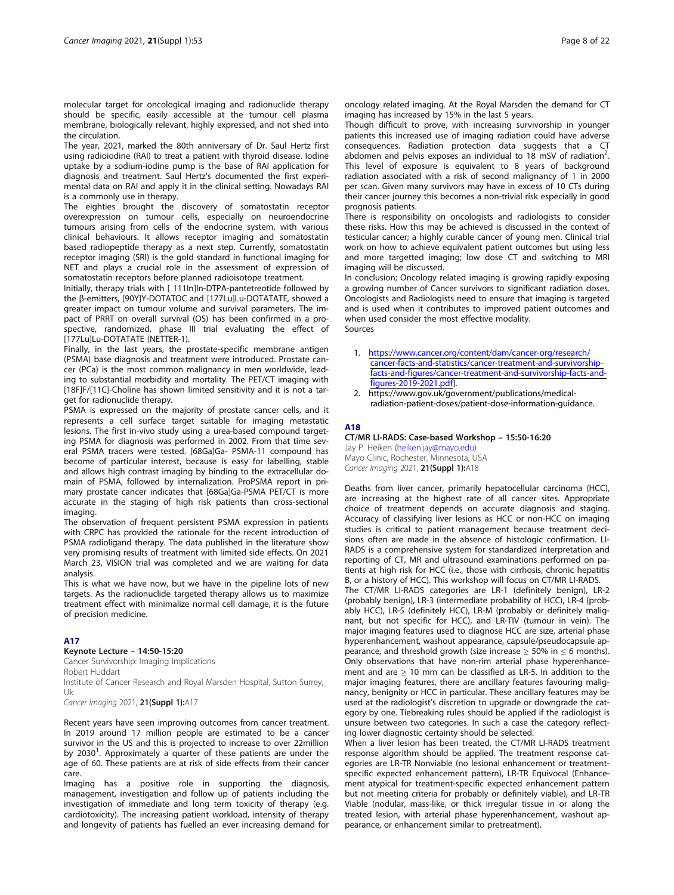molecular target for oncological imaging and radionuclide therapy should be specific, easily accessible at the tumour cell plasma membrane, biologically relevant, highly expressed, and not shed into the circulation.

The year, 2021, marked the 80th anniversary of Dr. Saul Hertz first using radioiodine (RAI) to treat a patient with thyroid disease. Iodine uptake by a sodium-iodine pump is the base of RAI application for diagnosis and treatment. Saul Hertz's documented the first experimental data on RAI and apply it in the clinical setting. Nowadays RAI is a commonly use in therapy.

The eighties brought the discovery of somatostatin receptor overexpression on tumour cells, especially on neuroendocrine tumours arising from cells of the endocrine system, with various clinical behaviours. It allows receptor imaging and somatostatin based radiopeptide therapy as a next step. Currently, somatostatin receptor imaging (SRI) is the gold standard in functional imaging for NET and plays a crucial role in the assessment of expression of somatostatin receptors before planned radioisotope treatment.

Initially, therapy trials with [ 111In]In-DTPA-pantetreotide followed by the β-emitters, [90Y]Y-DOTATOC and [177Lu]Lu-DOTATATE, showed a greater impact on tumour volume and survival parameters. The impact of PRRT on overall survival (OS) has been confirmed in a prospective, randomized, phase III trial evaluating the effect of [177Lu]Lu-DOTATATE (NETTER-1).

Finally, in the last years, the prostate-specific membrane antigen (PSMA) base diagnosis and treatment were introduced. Prostate cancer (PCa) is the most common malignancy in men worldwide, leading to substantial morbidity and mortality. The PET/CT imaging with [18F]F/[11C]-Choline has shown limited sensitivity and it is not a target for radionuclide therapy.

PSMA is expressed on the majority of prostate cancer cells, and it represents a cell surface target suitable for imaging metastatic lesions. The first in-vivo study using a urea-based compound targeting PSMA for diagnosis was performed in 2002. From that time several PSMA tracers were tested. [68Ga]Ga- PSMA-11 compound has become of particular interest, because is easy for labelling, stable and allows high contrast imaging by binding to the extracellular domain of PSMA, followed by internalization. ProPSMA report in primary prostate cancer indicates that [68Ga]Ga-PSMA PET/CT is more accurate in the staging of high risk patients than cross-sectional imaging.

The observation of frequent persistent PSMA expression in patients with CRPC has provided the rationale for the recent introduction of PSMA radioligand therapy. The data published in the literature show very promising results of treatment with limited side effects. On 2021 March 23, VISION trial was completed and we are waiting for data analysis.

This is what we have now, but we have in the pipeline lots of new targets. As the radionuclide targeted therapy allows us to maximize treatment effect with minimalize normal cell damage, it is the future of precision medicine.

### A17

Keynote Lecture – 14:50-15:20

Cancer Survivorship: Imaging implications Robert Huddart Institute of Cancer Research and Royal Marsden Hospital, Sutton Surrey, Uk

Cancer Imaging 2021, 21(Suppl 1):A17

Recent years have seen improving outcomes from cancer treatment. In 2019 around 17 million people are estimated to be a cancer survivor in the US and this is projected to increase to over 22million by 2030<sup>1</sup>. Approximately a quarter of these patients are under the age of 60. These patients are at risk of side effects from their cancer care.

Imaging has a positive role in supporting the diagnosis, management, investigation and follow up of patients including the investigation of immediate and long term toxicity of therapy (e.g. cardiotoxicity). The increasing patient workload, intensity of therapy and longevity of patients has fuelled an ever increasing demand for oncology related imaging. At the Royal Marsden the demand for CT imaging has increased by 15% in the last 5 years.

Though difficult to prove, with increasing survivorship in younger patients this increased use of imaging radiation could have adverse consequences. Radiation protection data suggests that a CT abdomen and pelvis exposes an individual to 18 mSV of radiation<sup>2</sup>. . This level of exposure is equivalent to 8 years of background radiation associated with a risk of second malignancy of 1 in 2000 per scan. Given many survivors may have in excess of 10 CTs during their cancer journey this becomes a non-trivial risk especially in good prognosis patients.

There is responsibility on oncologists and radiologists to consider these risks. How this may be achieved is discussed in the context of testicular cancer; a highly curable cancer of young men. Clinical trial work on how to achieve equivalent patient outcomes but using less and more targetted imaging; low dose CT and switching to MRI imaging will be discussed.

In conclusion; Oncology related imaging is growing rapidly exposing a growing number of Cancer survivors to significant radiation doses. Oncologists and Radiologists need to ensure that imaging is targeted and is used when it contributes to improved patient outcomes and when used consider the most effective modality. Sources

- 1. [https://www.cancer.org/content/dam/cancer-org/research/](https://www.cancer.org/content/dam/cancer-org/research/cancer-facts-and-statistics/cancer-treatment-and-survivorship-facts-and-figures/cancer-treatment-and-survivorship-facts-and-figures-2019-2021.pdf) [cancer-facts-and-statistics/cancer-treatment-and-survivorship](https://www.cancer.org/content/dam/cancer-org/research/cancer-facts-and-statistics/cancer-treatment-and-survivorship-facts-and-figures/cancer-treatment-and-survivorship-facts-and-figures-2019-2021.pdf)[facts-and-figures/cancer-treatment-and-survivorship-facts-and](https://www.cancer.org/content/dam/cancer-org/research/cancer-facts-and-statistics/cancer-treatment-and-survivorship-facts-and-figures/cancer-treatment-and-survivorship-facts-and-figures-2019-2021.pdf)[figures-2019-2021.pdf](https://www.cancer.org/content/dam/cancer-org/research/cancer-facts-and-statistics/cancer-treatment-and-survivorship-facts-and-figures/cancer-treatment-and-survivorship-facts-and-figures-2019-2021.pdf)].
- 2. https://www.gov.uk/government/publications/medicalradiation-patient-doses/patient-dose-information-guidance.

#### A18

### CT/MR LI-RADS: Case-based Workshop – 15:50-16:20

Jay P. Heiken [\(heiken.jay@mayo.edu](mailto:heiken.jay@mayo.edu)) Mayo Clinic, Rochester, Minnesota, USA Cancer Imaging 2021, 21(Suppl 1):A18

Deaths from liver cancer, primarily hepatocellular carcinoma (HCC), are increasing at the highest rate of all cancer sites. Appropriate choice of treatment depends on accurate diagnosis and staging. Accuracy of classifying liver lesions as HCC or non-HCC on imaging studies is critical to patient management because treatment decisions often are made in the absence of histologic confirmation. LI-RADS is a comprehensive system for standardized interpretation and reporting of CT, MR and ultrasound examinations performed on patients at high risk for HCC (i.e., those with cirrhosis, chronic hepatitis B, or a history of HCC). This workshop will focus on CT/MR LI-RADS. The CT/MR LI-RADS categories are LR-1 (definitely benign), LR-2

(probably benign), LR-3 (intermediate probability of HCC), LR-4 (probably HCC), LR-5 (definitely HCC), LR-M (probably or definitely malignant, but not specific for HCC), and LR-TIV (tumour in vein). The major imaging features used to diagnose HCC are size, arterial phase hyperenhancement, washout appearance, capsule/pseudocapsule appearance, and threshold growth (size increase  $\geq$  50% in  $\leq$  6 months). Only observations that have non-rim arterial phase hyperenhancement and are  $\geq$  10 mm can be classified as LR-5. In addition to the major imaging features, there are ancillary features favouring malignancy, benignity or HCC in particular. These ancillary features may be used at the radiologist's discretion to upgrade or downgrade the category by one. Tiebreaking rules should be applied if the radiologist is unsure between two categories. In such a case the category reflecting lower diagnostic certainty should be selected.

When a liver lesion has been treated, the CT/MR LI-RADS treatment response algorithm should be applied. The treatment response categories are LR-TR Nonviable (no lesional enhancement or treatmentspecific expected enhancement pattern), LR-TR Equivocal (Enhancement atypical for treatment-specific expected enhancement pattern but not meeting criteria for probably or definitely viable), and LR-TR Viable (nodular, mass-like, or thick irregular tissue in or along the treated lesion, with arterial phase hyperenhancement, washout appearance, or enhancement similar to pretreatment).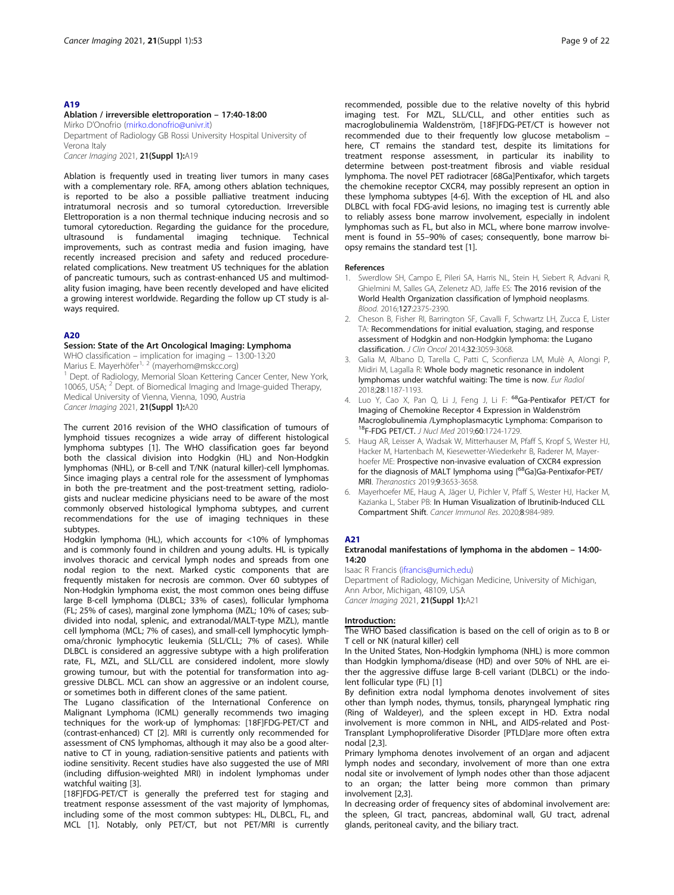### A19

### Ablation / irreversible elettroporation – 17:40-18:00

Mirko D'Onofrio ([mirko.donofrio@univr.it](mailto:mirko.donofrio@univr.it)) Department of Radiology GB Rossi University Hospital University of Verona Italy Cancer Imaging 2021, 21(Suppl 1):A19

Ablation is frequently used in treating liver tumors in many cases with a complementary role. RFA, among others ablation techniques, is reported to be also a possible palliative treatment inducing intratumoral necrosis and so tumoral cytoreduction. Irreversible Elettroporation is a non thermal technique inducing necrosis and so tumoral cytoreduction. Regarding the guidance for the procedure, ultrasound is fundamental imaging technique. Technical improvements, such as contrast media and fusion imaging, have recently increased precision and safety and reduced procedurerelated complications. New treatment US techniques for the ablation of pancreatic tumours, such as contrast-enhanced US and multimodality fusion imaging, have been recently developed and have elicited a growing interest worldwide. Regarding the follow up CT study is always required.

#### A20

### Session: State of the Art Oncological Imaging: Lymphoma

WHO classification – implication for imaging – 13:00-13:20<br>Marius E. Mayerhöfer<sup>1, 2</sup> (mayerhom@mskcc.org) Dept. of Radiology, Memorial Sloan Kettering Cancer Center, New York, 10065, USA; <sup>2</sup> Dept. of Biomedical Imaging and Image-guided Therapy, Medical University of Vienna, Vienna, 1090, Austria Cancer Imaging 2021, 21(Suppl 1):A20

The current 2016 revision of the WHO classification of tumours of lymphoid tissues recognizes a wide array of different histological lymphoma subtypes [1]. The WHO classification goes far beyond both the classical division into Hodgkin (HL) and Non-Hodgkin lymphomas (NHL), or B-cell and T/NK (natural killer)-cell lymphomas. Since imaging plays a central role for the assessment of lymphomas in both the pre-treatment and the post-treatment setting, radiologists and nuclear medicine physicians need to be aware of the most commonly observed histological lymphoma subtypes, and current recommendations for the use of imaging techniques in these subtypes.

Hodgkin lymphoma (HL), which accounts for <10% of lymphomas and is commonly found in children and young adults. HL is typically involves thoracic and cervical lymph nodes and spreads from one nodal region to the next. Marked cystic components that are frequently mistaken for necrosis are common. Over 60 subtypes of Non-Hodgkin lymphoma exist, the most common ones being diffuse large B-cell lymphoma (DLBCL; 33% of cases), follicular lymphoma (FL; 25% of cases), marginal zone lymphoma (MZL; 10% of cases; subdivided into nodal, splenic, and extranodal/MALT-type MZL), mantle cell lymphoma (MCL; 7% of cases), and small-cell lymphocytic lymphoma/chronic lymphocytic leukemia (SLL/CLL; 7% of cases). While DLBCL is considered an aggressive subtype with a high proliferation rate, FL, MZL, and SLL/CLL are considered indolent, more slowly growing tumour, but with the potential for transformation into aggressive DLBCL. MCL can show an aggressive or an indolent course, or sometimes both in different clones of the same patient.

The Lugano classification of the International Conference on Malignant Lymphoma (ICML) generally recommends two imaging techniques for the work-up of lymphomas: [18F]FDG-PET/CT and (contrast-enhanced) CT [2]. MRI is currently only recommended for assessment of CNS lymphomas, although it may also be a good alternative to CT in young, radiation-sensitive patients and patients with iodine sensitivity. Recent studies have also suggested the use of MRI (including diffusion-weighted MRI) in indolent lymphomas under watchful waiting [3].

[18F]FDG-PET/CT is generally the preferred test for staging and treatment response assessment of the vast majority of lymphomas, including some of the most common subtypes: HL, DLBCL, FL, and MCL [1]. Notably, only PET/CT, but not PET/MRI is currently recommended, possible due to the relative novelty of this hybrid imaging test. For MZL, SLL/CLL, and other entities such as macroglobulinemia Waldenström, [18F]FDG-PET/CT is however not recommended due to their frequently low glucose metabolism – here, CT remains the standard test, despite its limitations for treatment response assessment, in particular its inability to determine between post-treatment fibrosis and viable residual lymphoma. The novel PET radiotracer [68Ga]Pentixafor, which targets the chemokine receptor CXCR4, may possibly represent an option in these lymphoma subtypes [4-6]. With the exception of HL and also DLBCL with focal FDG-avid lesions, no imaging test is currently able to reliably assess bone marrow involvement, especially in indolent lymphomas such as FL, but also in MCL, where bone marrow involvement is found in 55–90% of cases; consequently, bone marrow biopsy remains the standard test [1].

#### References

- 1. Swerdlow SH, Campo E, Pileri SA, Harris NL, Stein H, Siebert R, Advani R, Ghielmini M, Salles GA, Zelenetz AD, Jaffe ES: The 2016 revision of the World Health Organization classification of lymphoid neoplasms. Blood. 2016;127:2375-2390.
- 2. Cheson B, Fisher RI, Barrington SF, Cavalli F, Schwartz LH, Zucca E, Lister TA: Recommendations for initial evaluation, staging, and response assessment of Hodgkin and non-Hodgkin lymphoma: the Lugano classification. J Clin Oncol 2014;32:3059-3068.
- 3. Galia M, Albano D, Tarella C, Patti C, Sconfienza LM, Mulè A, Alongi P, Midiri M, Lagalla R: Whole body magnetic resonance in indolent lymphomas under watchful waiting: The time is now. Eur Radiol 2018;28:1187-1193.
- Luo Y, Cao X, Pan Q, Li J, Feng J, Li F: <sup>68</sup>Ga-Pentixafor PET/CT for Imaging of Chemokine Receptor 4 Expression in Waldenström Macroglobulinemia /Lymphoplasmacytic Lymphoma: Comparison to 18F-FDG PET/CT. J Nucl Med 2019;60:1724-1729.
- 5. Haug AR, Leisser A, Wadsak W, Mitterhauser M, Pfaff S, Kropf S, Wester HJ, Hacker M, Hartenbach M, Kiesewetter-Wiederkehr B, Raderer M, Mayerhoefer ME: Prospective non-invasive evaluation of CXCR4 expression for the diagnosis of MALT lymphoma using [68Ga]Ga-Pentixafor-PET/ MRI. Theranostics 2019;9:3653-3658.
- 6. Mayerhoefer ME, Haug A, Jäger U, Pichler V, Pfaff S, Wester HJ, Hacker M, Kazianka L, Staber PB: In Human Visualization of Ibrutinib-Induced CLL Compartment Shift. Cancer Immunol Res. 2020;8:984-989.

#### A21

### Extranodal manifestations of lymphoma in the abdomen – 14:00-  $14:20$

Isaac R Francis [\(ifrancis@umich.edu](mailto:ifrancis@umich.edu))

Department of Radiology, Michigan Medicine, University of Michigan, Ann Arbor, Michigan, 48109, USA Cancer Imaging 2021, 21(Suppl 1):A21

### Introduction:

The WHO based classification is based on the cell of origin as to B or T cell or NK (natural killer) cell

In the United States, Non-Hodgkin lymphoma (NHL) is more common than Hodgkin lymphoma/disease (HD) and over 50% of NHL are either the aggressive diffuse large B-cell variant (DLBCL) or the indolent follicular type (FL) [1]

By definition extra nodal lymphoma denotes involvement of sites other than lymph nodes, thymus, tonsils, pharyngeal lymphatic ring (Ring of Waldeyer), and the spleen except in HD. Extra nodal involvement is more common in NHL, and AIDS-related and Post-Transplant Lymphoproliferative Disorder [PTLD]are more often extra nodal [2,3].

Primary lymphoma denotes involvement of an organ and adjacent lymph nodes and secondary, involvement of more than one extra nodal site or involvement of lymph nodes other than those adjacent to an organ; the latter being more common than primary involvement [2,3].

In decreasing order of frequency sites of abdominal involvement are: the spleen, GI tract, pancreas, abdominal wall, GU tract, adrenal glands, peritoneal cavity, and the biliary tract.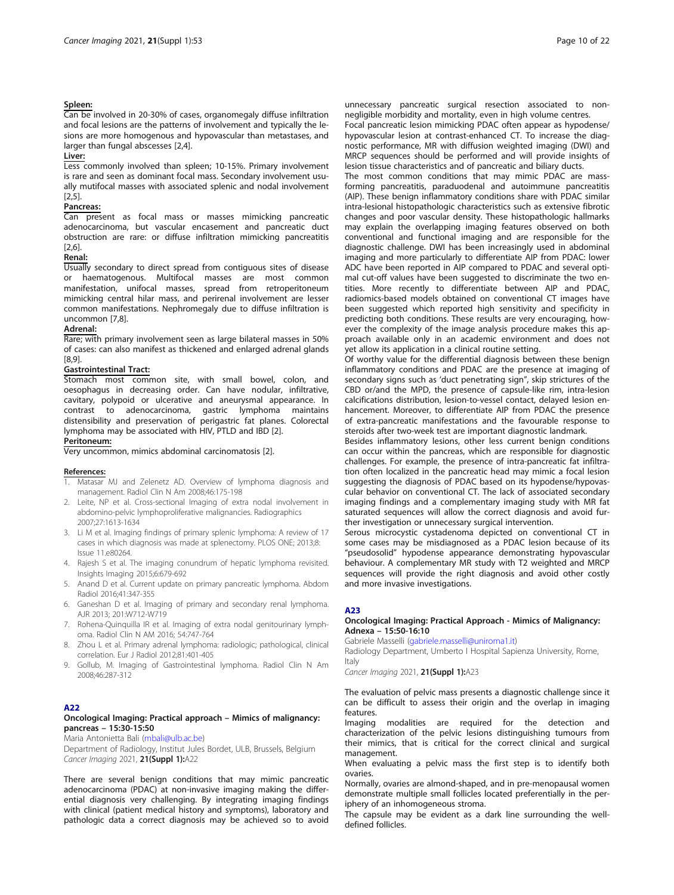#### Spleen:

Can be involved in 20-30% of cases, organomegaly diffuse infiltration and focal lesions are the patterns of involvement and typically the lesions are more homogenous and hypovascular than metastases, and larger than fungal abscesses [2,4].

### Liver:

Less commonly involved than spleen; 10-15%. Primary involvement is rare and seen as dominant focal mass. Secondary involvement usually mutifocal masses with associated splenic and nodal involvement [2,5].

#### Pancreas:

Can present as focal mass or masses mimicking pancreatic adenocarcinoma, but vascular encasement and pancreatic duct obstruction are rare: or diffuse infiltration mimicking pancreatitis [2,6].

#### Renal:

Usually secondary to direct spread from contiguous sites of disease or haematogenous. Multifocal masses are most common manifestation, unifocal masses, spread from retroperitoneum mimicking central hilar mass, and perirenal involvement are lesser common manifestations. Nephromegaly due to diffuse infiltration is uncommon [7,8].

#### Adrenal:

Rare; with primary involvement seen as large bilateral masses in 50% of cases: can also manifest as thickened and enlarged adrenal glands [8,9].

### Gastrointestinal Tract:

Stomach most common site, with small bowel, colon, and oesophagus in decreasing order. Can have nodular, infiltrative, cavitary, polypoid or ulcerative and aneurysmal appearance. In contrast to adenocarcinoma, gastric lymphoma maintains distensibility and preservation of perigastric fat planes. Colorectal lymphoma may be associated with HIV, PTLD and IBD [2].

### Peritoneum:

Very uncommon, mimics abdominal carcinomatosis [2].

### References:

- Matasar MJ and Zelenetz AD. Overview of lymphoma diagnosis and management. Radiol Clin N Am 2008;46:175-198
- 2. Leite, NP et al. Cross-sectional Imaging of extra nodal involvement in abdomino-pelvic lymphoproliferative malignancies. Radiographics 2007;27:1613-1634
- 3. Li M et al. Imaging findings of primary splenic lymphoma: A review of 17 cases in which diagnosis was made at splenectomy. PLOS ONE; 2013;8: Issue 11.e80264.
- 4. Rajesh S et al. The imaging conundrum of hepatic lymphoma revisited. Insights Imaging 2015;6:679-692
- 5. Anand D et al. Current update on primary pancreatic lymphoma. Abdom Radiol 2016;41:347-355
- 6. Ganeshan D et al. Imaging of primary and secondary renal lymphoma. AJR 2013; 201:W712-W719
- 7. Rohena-Quinquilla IR et al. Imaging of extra nodal genitourinary lymphoma. Radiol Clin N AM 2016; 54:747-764
- 8. Zhou L et al. Primary adrenal lymphoma: radiologic; pathological, clinical correlation. Eur J Radiol 2012;81:401-405
- 9. Gollub, M. Imaging of Gastrointestinal lymphoma. Radiol Clin N Am 2008;46:287-312

### A<sub>22</sub>

#### Oncological Imaging: Practical approach – Mimics of malignancy: pancreas – 15:30-15:50

Maria Antonietta Bali ([mbali@ulb.ac.be\)](mailto:mbali@ulb.ac.be)

Department of Radiology, Institut Jules Bordet, ULB, Brussels, Belgium Cancer Imaging 2021, 21(Suppl 1):A22

There are several benign conditions that may mimic pancreatic adenocarcinoma (PDAC) at non-invasive imaging making the differential diagnosis very challenging. By integrating imaging findings with clinical (patient medical history and symptoms), laboratory and pathologic data a correct diagnosis may be achieved so to avoid unnecessary pancreatic surgical resection associated to nonnegligible morbidity and mortality, even in high volume centres. Focal pancreatic lesion mimicking PDAC often appear as hypodense/ hypovascular lesion at contrast-enhanced CT. To increase the diagnostic performance, MR with diffusion weighted imaging (DWI) and MRCP sequences should be performed and will provide insights of

lesion tissue characteristics and of pancreatic and biliary ducts. The most common conditions that may mimic PDAC are massforming pancreatitis, paraduodenal and autoimmune pancreatitis (AIP). These benign inflammatory conditions share with PDAC similar intra-lesional histopathologic characteristics such as extensive fibrotic changes and poor vascular density. These histopathologic hallmarks may explain the overlapping imaging features observed on both conventional and functional imaging and are responsible for the diagnostic challenge. DWI has been increasingly used in abdominal imaging and more particularly to differentiate AIP from PDAC: lower ADC have been reported in AIP compared to PDAC and several optimal cut-off values have been suggested to discriminate the two entities. More recently to differentiate between AIP and PDAC, radiomics-based models obtained on conventional CT images have been suggested which reported high sensitivity and specificity in predicting both conditions. These results are very encouraging, however the complexity of the image analysis procedure makes this approach available only in an academic environment and does not yet allow its application in a clinical routine setting.

Of worthy value for the differential diagnosis between these benign inflammatory conditions and PDAC are the presence at imaging of secondary signs such as 'duct penetrating sign", skip strictures of the CBD or/and the MPD, the presence of capsule-like rim, intra-lesion calcifications distribution, lesion-to-vessel contact, delayed lesion enhancement. Moreover, to differentiate AIP from PDAC the presence of extra-pancreatic manifestations and the favourable response to steroids after two-week test are important diagnostic landmark.

Besides inflammatory lesions, other less current benign conditions can occur within the pancreas, which are responsible for diagnostic challenges. For example, the presence of intra-pancreatic fat infiltration often localized in the pancreatic head may mimic a focal lesion suggesting the diagnosis of PDAC based on its hypodense/hypovascular behavior on conventional CT. The lack of associated secondary imaging findings and a complementary imaging study with MR fat saturated sequences will allow the correct diagnosis and avoid further investigation or unnecessary surgical intervention.

Serous microcystic cystadenoma depicted on conventional CT in some cases may be misdiagnosed as a PDAC lesion because of its "pseudosolid" hypodense appearance demonstrating hypovascular behaviour. A complementary MR study with T2 weighted and MRCP sequences will provide the right diagnosis and avoid other costly and more invasive investigations.

#### A23

### Oncological Imaging: Practical Approach - Mimics of Malignancy: Adnexa – 15:50-16:10

Gabriele Masselli [\(gabriele.masselli@uniroma1.it](mailto:gabriele.masselli@uniroma1.it))

Radiology Department, Umberto I Hospital Sapienza University, Rome, Italy

Cancer Imaging 2021, 21(Suppl 1):A23

The evaluation of pelvic mass presents a diagnostic challenge since it can be difficult to assess their origin and the overlap in imaging features.

Imaging modalities are required for the detection and characterization of the pelvic lesions distinguishing tumours from their mimics, that is critical for the correct clinical and surgical management.

When evaluating a pelvic mass the first step is to identify both ovaries.

Normally, ovaries are almond-shaped, and in pre-menopausal women demonstrate multiple small follicles located preferentially in the periphery of an inhomogeneous stroma.

The capsule may be evident as a dark line surrounding the welldefined follicles.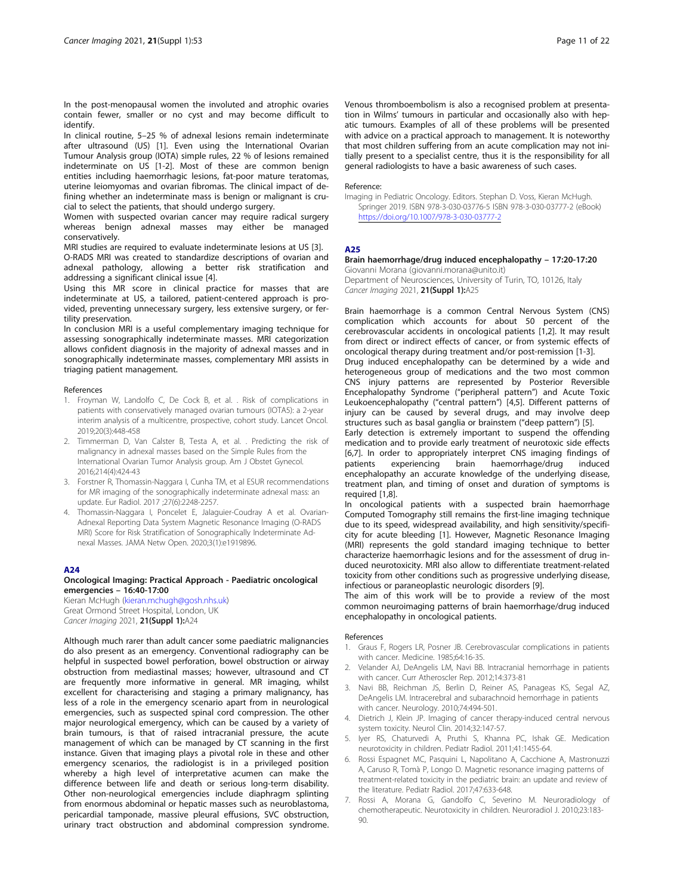In the post-menopausal women the involuted and atrophic ovaries contain fewer, smaller or no cyst and may become difficult to identify.

In clinical routine, 5–25 % of adnexal lesions remain indeterminate after ultrasound (US) [1]. Even using the International Ovarian Tumour Analysis group (IOTA) simple rules, 22 % of lesions remained indeterminate on US [1-2]. Most of these are common benign entities including haemorrhagic lesions, fat-poor mature teratomas, uterine leiomyomas and ovarian fibromas. The clinical impact of defining whether an indeterminate mass is benign or malignant is crucial to select the patients, that should undergo surgery.

Women with suspected ovarian cancer may require radical surgery whereas benign adnexal masses may either be managed conservatively.

MRI studies are required to evaluate indeterminate lesions at US [3]. O-RADS MRI was created to standardize descriptions of ovarian and adnexal pathology, allowing a better risk stratification and addressing a significant clinical issue [4].

Using this MR score in clinical practice for masses that are indeterminate at US, a tailored, patient-centered approach is provided, preventing unnecessary surgery, less extensive surgery, or fertility preservation.

In conclusion MRI is a useful complementary imaging technique for assessing sonographically indeterminate masses. MRI categorization allows confident diagnosis in the majority of adnexal masses and in sonographically indeterminate masses, complementary MRI assists in triaging patient management.

### References

- 1. Froyman W, Landolfo C, De Cock B, et al. . Risk of complications in patients with conservatively managed ovarian tumours (IOTA5): a 2-year interim analysis of a multicentre, prospective, cohort study. Lancet Oncol. 2019;20(3):448-458
- 2. Timmerman D, Van Calster B, Testa A, et al. . Predicting the risk of malignancy in adnexal masses based on the Simple Rules from the International Ovarian Tumor Analysis group. Am J Obstet Gynecol. 2016;214(4):424-43
- 3. Forstner R, Thomassin-Naggara I, Cunha TM, et al ESUR recommendations for MR imaging of the sonographically indeterminate adnexal mass: an update. Eur Radiol. 2017 ;27(6):2248-2257.
- 4. Thomassin-Naggara I, Poncelet E, Jalaguier-Coudray A et al. Ovarian-Adnexal Reporting Data System Magnetic Resonance Imaging (O-RADS MRI) Score for Risk Stratification of Sonographically Indeterminate Adnexal Masses. JAMA Netw Open. 2020;3(1):e1919896.

#### A24

### Oncological Imaging: Practical Approach - Paediatric oncological emergencies – 16:40-17:00

Kieran McHugh [\(kieran.mchugh@gosh.nhs.uk](mailto:kieran.mchugh@gosh.nhs.uk)) Great Ormond Street Hospital, London, UK Cancer Imaging 2021, 21(Suppl 1):A24

Although much rarer than adult cancer some paediatric malignancies do also present as an emergency. Conventional radiography can be helpful in suspected bowel perforation, bowel obstruction or airway obstruction from mediastinal masses; however, ultrasound and CT are frequently more informative in general. MR imaging, whilst excellent for characterising and staging a primary malignancy, has less of a role in the emergency scenario apart from in neurological emergencies, such as suspected spinal cord compression. The other major neurological emergency, which can be caused by a variety of brain tumours, is that of raised intracranial pressure, the acute management of which can be managed by CT scanning in the first instance. Given that imaging plays a pivotal role in these and other emergency scenarios, the radiologist is in a privileged position whereby a high level of interpretative acumen can make the difference between life and death or serious long-term disability. Other non-neurological emergencies include diaphragm splinting from enormous abdominal or hepatic masses such as neuroblastoma, pericardial tamponade, massive pleural effusions, SVC obstruction, urinary tract obstruction and abdominal compression syndrome.

Venous thromboembolism is also a recognised problem at presentation in Wilms' tumours in particular and occasionally also with hepatic tumours. Examples of all of these problems will be presented with advice on a practical approach to management. It is noteworthy that most children suffering from an acute complication may not initially present to a specialist centre, thus it is the responsibility for all general radiologists to have a basic awareness of such cases.

#### Reference:

Imaging in Pediatric Oncology. Editors. Stephan D. Voss, Kieran McHugh. Springer 2019. ISBN 978-3-030-03776-5 ISBN 978-3-030-03777-2 (eBook) <https://doi.org/10.1007/978-3-030-03777-2>

### A25

### Brain haemorrhage/drug induced encephalopathy – 17:20-17:20 Giovanni Morana (giovanni.morana@unito.it)

Department of Neurosciences, University of Turin, TO, 10126, Italy Cancer Imaging 2021, 21(Suppl 1):A25

Brain haemorrhage is a common Central Nervous System (CNS) complication which accounts for about 50 percent of the cerebrovascular accidents in oncological patients [1,2]. It may result from direct or indirect effects of cancer, or from systemic effects of oncological therapy during treatment and/or post-remission [1-3].

Drug induced encephalopathy can be determined by a wide and heterogeneous group of medications and the two most common CNS injury patterns are represented by Posterior Reversible Encephalopathy Syndrome ("peripheral pattern") and Acute Toxic Leukoencephalopathy ("central pattern") [4,5]. Different patterns of injury can be caused by several drugs, and may involve deep structures such as basal ganglia or brainstem ("deep pattern") [5].

Early detection is extremely important to suspend the offending medication and to provide early treatment of neurotoxic side effects [6,7]. In order to appropriately interpret CNS imaging findings of patients experiencing brain haemorrhage/drug induced encephalopathy an accurate knowledge of the underlying disease, treatment plan, and timing of onset and duration of symptoms is required [1,8].

In oncological patients with a suspected brain haemorrhage Computed Tomography still remains the first-line imaging technique due to its speed, widespread availability, and high sensitivity/specificity for acute bleeding [1]. However, Magnetic Resonance Imaging (MRI) represents the gold standard imaging technique to better characterize haemorrhagic lesions and for the assessment of drug induced neurotoxicity. MRI also allow to differentiate treatment-related toxicity from other conditions such as progressive underlying disease, infectious or paraneoplastic neurologic disorders [9].

The aim of this work will be to provide a review of the most common neuroimaging patterns of brain haemorrhage/drug induced encephalopathy in oncological patients.

#### References

- 1. Graus F, Rogers LR, Posner JB. Cerebrovascular complications in patients with cancer. Medicine. 1985;64:16-35.
- Velander AJ, DeAngelis LM, Navi BB. Intracranial hemorrhage in patients with cancer. Curr Atheroscler Rep. 2012;14:373-81
- 3. Navi BB, Reichman JS, Berlin D, Reiner AS, Panageas KS, Segal AZ, DeAngelis LM. Intracerebral and subarachnoid hemorrhage in patients with cancer. Neurology. 2010;74:494-501.
- Dietrich J, Klein JP. Imaging of cancer therapy-induced central nervous system toxicity. Neurol Clin. 2014;32:147-57.
- Iyer RS, Chaturvedi A, Pruthi S, Khanna PC, Ishak GE. Medication neurotoxicity in children. Pediatr Radiol. 2011;41:1455-64.
- Rossi Espagnet MC, Pasquini L, Napolitano A, Cacchione A, Mastronuzzi A, Caruso R, Tomà P, Longo D. Magnetic resonance imaging patterns of treatment-related toxicity in the pediatric brain: an update and review of the literature. Pediatr Radiol. 2017;47:633-648.
- 7. Rossi A, Morana G, Gandolfo C, Severino M. Neuroradiology of chemotherapeutic. Neurotoxicity in children. Neuroradiol J. 2010;23:183- 90.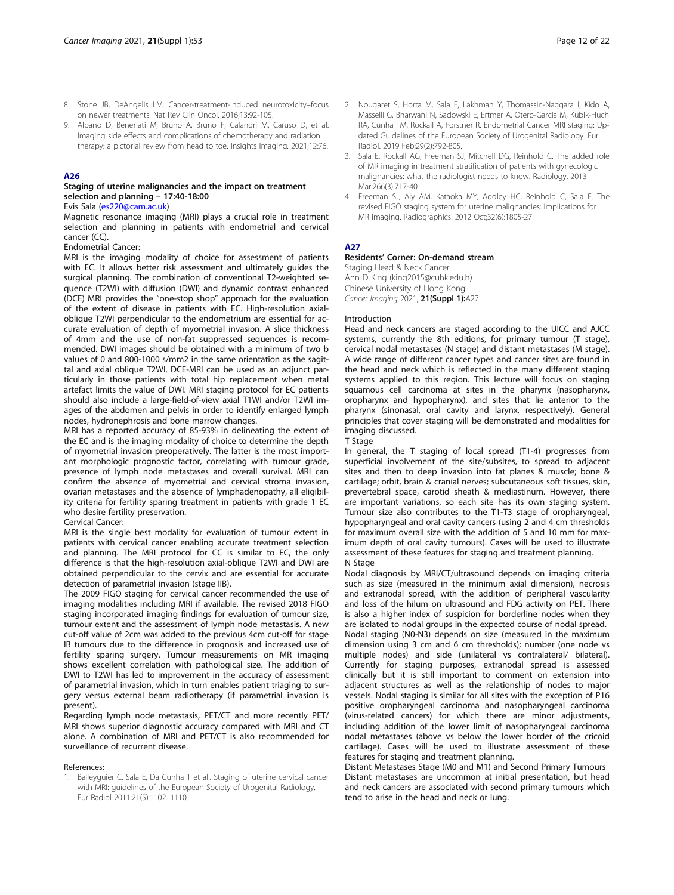- 8. Stone JB, DeAngelis LM. Cancer-treatment-induced neurotoxicity–focus on newer treatments. Nat Rev Clin Oncol. 2016;13:92-105.
- Albano D, Benenati M, Bruno A, Bruno F, Calandri M, Caruso D, et al. Imaging side effects and complications of chemotherapy and radiation therapy: a pictorial review from head to toe. Insights Imaging. 2021;12:76.

### A26

### Staging of uterine malignancies and the impact on treatment selection and planning – 17:40-18:00

Evis Sala ([es220@cam.ac.uk](mailto:es220@cam.ac.uk))

Magnetic resonance imaging (MRI) plays a crucial role in treatment selection and planning in patients with endometrial and cervical cancer (CC).

### Endometrial Cancer:

MRI is the imaging modality of choice for assessment of patients with EC. It allows better risk assessment and ultimately guides the surgical planning. The combination of conventional T2-weighted sequence (T2WI) with diffusion (DWI) and dynamic contrast enhanced (DCE) MRI provides the "one-stop shop" approach for the evaluation of the extent of disease in patients with EC. High-resolution axialoblique T2WI perpendicular to the endometrium are essential for accurate evaluation of depth of myometrial invasion. A slice thickness of 4mm and the use of non-fat suppressed sequences is recommended. DWI images should be obtained with a minimum of two b values of 0 and 800-1000 s/mm2 in the same orientation as the sagittal and axial oblique T2WI. DCE-MRI can be used as an adjunct particularly in those patients with total hip replacement when metal artefact limits the value of DWI. MRI staging protocol for EC patients should also include a large-field-of-view axial T1WI and/or T2WI images of the abdomen and pelvis in order to identify enlarged lymph nodes, hydronephrosis and bone marrow changes.

MRI has a reported accuracy of 85-93% in delineating the extent of the EC and is the imaging modality of choice to determine the depth of myometrial invasion preoperatively. The latter is the most important morphologic prognostic factor, correlating with tumour grade, presence of lymph node metastases and overall survival. MRI can confirm the absence of myometrial and cervical stroma invasion, ovarian metastases and the absence of lymphadenopathy, all eligibility criteria for fertility sparing treatment in patients with grade 1 EC who desire fertility preservation.

#### Cervical Cancer:

MRI is the single best modality for evaluation of tumour extent in patients with cervical cancer enabling accurate treatment selection and planning. The MRI protocol for CC is similar to EC, the only difference is that the high-resolution axial-oblique T2WI and DWI are obtained perpendicular to the cervix and are essential for accurate detection of parametrial invasion (stage IIB).

The 2009 FIGO staging for cervical cancer recommended the use of imaging modalities including MRI if available. The revised 2018 FIGO staging incorporated imaging findings for evaluation of tumour size, tumour extent and the assessment of lymph node metastasis. A new cut-off value of 2cm was added to the previous 4cm cut-off for stage IB tumours due to the difference in prognosis and increased use of fertility sparing surgery. Tumour measurements on MR imaging shows excellent correlation with pathological size. The addition of DWI to T2WI has led to improvement in the accuracy of assessment of parametrial invasion, which in turn enables patient triaging to surgery versus external beam radiotherapy (if parametrial invasion is present).

Regarding lymph node metastasis, PET/CT and more recently PET/ MRI shows superior diagnostic accuracy compared with MRI and CT alone. A combination of MRI and PET/CT is also recommended for surveillance of recurrent disease.

#### References:

- 2. Nougaret S, Horta M, Sala E, Lakhman Y, Thomassin-Naggara I, Kido A, Masselli G, Bharwani N, Sadowski E, Ertmer A, Otero-Garcia M, Kubik-Huch RA, Cunha TM, Rockall A, Forstner R. Endometrial Cancer MRI staging: Updated Guidelines of the European Society of Urogenital Radiology. Eur Radiol. 2019 Feb;29(2):792-805.
- 3. Sala E, Rockall AG, Freeman SJ, Mitchell DG, Reinhold C. The added role of MR imaging in treatment stratification of patients with gynecologic malignancies: what the radiologist needs to know. Radiology. 2013 Mar;266(3):717-40
- 4. Freeman SJ, Aly AM, Kataoka MY, Addley HC, Reinhold C, Sala E. The revised FIGO staging system for uterine malignancies: implications for MR imaging. Radiographics. 2012 Oct;32(6):1805-27.

### A27

### Residents' Corner: On-demand stream

Staging Head & Neck Cancer Ann D King (king2015@cuhk.edu.h) Chinese University of Hong Kong Cancer Imaging 2021, 21(Suppl 1):A27

### Introduction

Head and neck cancers are staged according to the UICC and AJCC systems, currently the 8th editions, for primary tumour (T stage), cervical nodal metastases (N stage) and distant metastases (M stage). A wide range of different cancer types and cancer sites are found in the head and neck which is reflected in the many different staging systems applied to this region. This lecture will focus on staging squamous cell carcinoma at sites in the pharynx (nasopharynx, oropharynx and hypopharynx), and sites that lie anterior to the pharynx (sinonasal, oral cavity and larynx, respectively). General principles that cover staging will be demonstrated and modalities for imaging discussed.

T Stage

In general, the T staging of local spread (T1-4) progresses from superficial involvement of the site/subsites, to spread to adjacent sites and then to deep invasion into fat planes & muscle; bone & cartilage; orbit, brain & cranial nerves; subcutaneous soft tissues, skin, prevertebral space, carotid sheath & mediastinum. However, there are important variations, so each site has its own staging system. Tumour size also contributes to the T1-T3 stage of oropharyngeal, hypopharyngeal and oral cavity cancers (using 2 and 4 cm thresholds for maximum overall size with the addition of 5 and 10 mm for maximum depth of oral cavity tumours). Cases will be used to illustrate assessment of these features for staging and treatment planning. N Stage

Nodal diagnosis by MRI/CT/ultrasound depends on imaging criteria such as size (measured in the minimum axial dimension), necrosis and extranodal spread, with the addition of peripheral vascularity and loss of the hilum on ultrasound and FDG activity on PET. There is also a higher index of suspicion for borderline nodes when they are isolated to nodal groups in the expected course of nodal spread. Nodal staging (N0-N3) depends on size (measured in the maximum dimension using 3 cm and 6 cm thresholds); number (one node vs multiple nodes) and side (unilateral vs contralateral/ bilateral). Currently for staging purposes, extranodal spread is assessed clinically but it is still important to comment on extension into adjacent structures as well as the relationship of nodes to major vessels. Nodal staging is similar for all sites with the exception of P16 positive oropharyngeal carcinoma and nasopharyngeal carcinoma (virus-related cancers) for which there are minor adjustments, including addition of the lower limit of nasopharyngeal carcinoma nodal metastases (above vs below the lower border of the cricoid cartilage). Cases will be used to illustrate assessment of these features for staging and treatment planning.

Distant Metastases Stage (M0 and M1) and Second Primary Tumours Distant metastases are uncommon at initial presentation, but head and neck cancers are associated with second primary tumours which tend to arise in the head and neck or lung.

<sup>1.</sup> Balleyguier C, Sala E, Da Cunha T et al.. Staging of uterine cervical cancer with MRI: guidelines of the European Society of Urogenital Radiology. Eur Radiol 2011;21(5):1102–1110.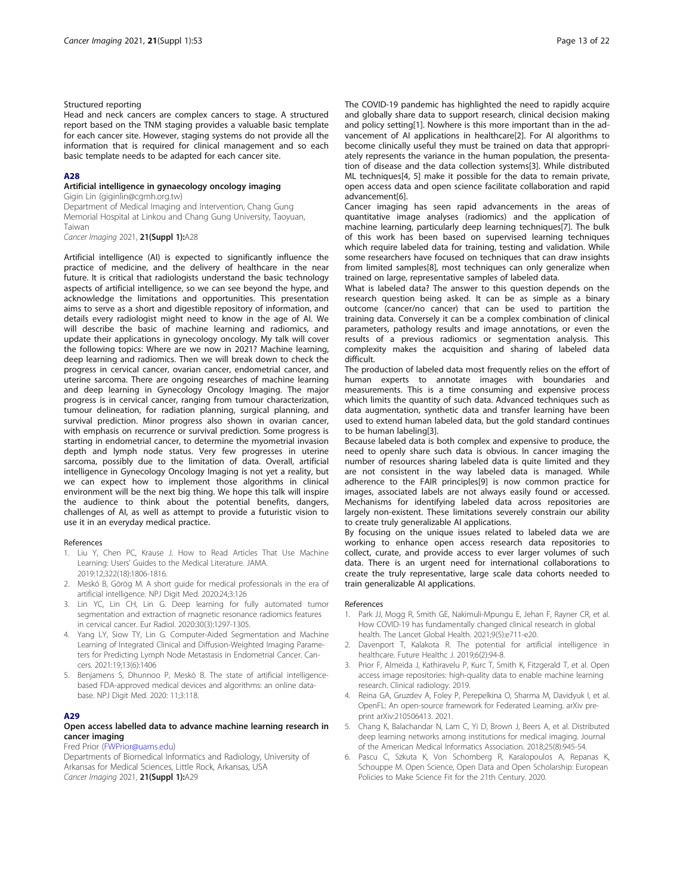### Structured reporting

Head and neck cancers are complex cancers to stage. A structured report based on the TNM staging provides a valuable basic template for each cancer site. However, staging systems do not provide all the information that is required for clinical management and so each basic template needs to be adapted for each cancer site.

### A28

### Artificial intelligence in gynaecology oncology imaging Gigin Lin (giginlin@cgmh.org.tw)

Department of Medical Imaging and Intervention, Chang Gung Memorial Hospital at Linkou and Chang Gung University, Taoyuan, Taiwan Cancer Imaging 2021, 21(Suppl 1):A28

Artificial intelligence (AI) is expected to significantly influence the practice of medicine, and the delivery of healthcare in the near future. It is critical that radiologists understand the basic technology aspects of artificial intelligence, so we can see beyond the hype, and acknowledge the limitations and opportunities. This presentation aims to serve as a short and digestible repository of information, and details every radiologist might need to know in the age of AI. We will describe the basic of machine learning and radiomics, and update their applications in gynecology oncology. My talk will cover the following topics: Where are we now in 2021? Machine learning, deep learning and radiomics. Then we will break down to check the progress in cervical cancer, ovarian cancer, endometrial cancer, and uterine sarcoma. There are ongoing researches of machine learning and deep learning in Gynecology Oncology Imaging. The major progress is in cervical cancer, ranging from tumour characterization, tumour delineation, for radiation planning, surgical planning, and survival prediction. Minor progress also shown in ovarian cancer, with emphasis on recurrence or survival prediction. Some progress is starting in endometrial cancer, to determine the myometrial invasion depth and lymph node status. Very few progresses in uterine sarcoma, possibly due to the limitation of data. Overall, artificial intelligence in Gynecology Oncology Imaging is not yet a reality, but we can expect how to implement those algorithms in clinical environment will be the next big thing. We hope this talk will inspire the audience to think about the potential benefits, dangers, challenges of AI, as well as attempt to provide a futuristic vision to use it in an everyday medical practice.

### References

- 1. Liu Y, Chen PC, Krause J. How to Read Articles That Use Machine Learning: Users' Guides to the Medical Literature. JAMA. 2019:12;322(18):1806-1816.
- 2. Meskó B, Görög M. A short guide for medical professionals in the era of artificial intelligence. NPJ Digit Med. 2020:24;3:126
- 3. Lin YC, Lin CH, Lin G. Deep learning for fully automated tumor segmentation and extraction of magnetic resonance radiomics features in cervical cancer. Eur Radiol. 2020:30(3):1297-1305.
- 4. Yang LY, Siow TY, Lin G. Computer-Aided Segmentation and Machine Learning of Integrated Clinical and Diffusion-Weighted Imaging Parameters for Predicting Lymph Node Metastasis in Endometrial Cancer. Cancers. 2021:19;13(6):1406
- 5. Benjamens S, Dhunnoo P, Meskó B. The state of artificial intelligencebased FDA-approved medical devices and algorithms: an online database. NPJ Digit Med. 2020: 11;3:118.

### A29

### Open access labelled data to advance machine learning research in cancer imaging

Fred Prior [\(FWPrior@uams.edu](mailto:FWPrior@uams.edu))

Departments of Biomedical Informatics and Radiology, University of Arkansas for Medical Sciences, Little Rock, Arkansas, USA Cancer Imaging 2021, 21(Suppl 1):A29

The COVID-19 pandemic has highlighted the need to rapidly acquire and globally share data to support research, clinical decision making and policy setting[1]. Nowhere is this more important than in the advancement of AI applications in healthcare[2]. For AI algorithms to become clinically useful they must be trained on data that appropriately represents the variance in the human population, the presentation of disease and the data collection systems[3]. While distributed ML techniques[4, 5] make it possible for the data to remain private, open access data and open science facilitate collaboration and rapid advancement[6].

Cancer imaging has seen rapid advancements in the areas of quantitative image analyses (radiomics) and the application of machine learning, particularly deep learning techniques[7]. The bulk of this work has been based on supervised learning techniques which require labeled data for training, testing and validation. While some researchers have focused on techniques that can draw insights from limited samples[8], most techniques can only generalize when trained on large, representative samples of labeled data.

What is labeled data? The answer to this question depends on the research question being asked. It can be as simple as a binary outcome (cancer/no cancer) that can be used to partition the training data. Conversely it can be a complex combination of clinical parameters, pathology results and image annotations, or even the results of a previous radiomics or segmentation analysis. This complexity makes the acquisition and sharing of labeled data difficult.

The production of labeled data most frequently relies on the effort of human experts to annotate images with boundaries and measurements. This is a time consuming and expensive process which limits the quantity of such data. Advanced techniques such as data augmentation, synthetic data and transfer learning have been used to extend human labeled data, but the gold standard continues to be human labeling[3].

Because labeled data is both complex and expensive to produce, the need to openly share such data is obvious. In cancer imaging the number of resources sharing labeled data is quite limited and they are not consistent in the way labeled data is managed. While adherence to the FAIR principles[9] is now common practice for images, associated labels are not always easily found or accessed. Mechanisms for identifying labeled data across repositories are largely non-existent. These limitations severely constrain our ability to create truly generalizable AI applications.

By focusing on the unique issues related to labeled data we are working to enhance open access research data repositories to collect, curate, and provide access to ever larger volumes of such data. There is an urgent need for international collaborations to create the truly representative, large scale data cohorts needed to train generalizable AI applications.

#### References

- 1. Park JJ, Mogg R, Smith GE, Nakimuli-Mpungu E, Jehan F, Rayner CR, et al. How COVID-19 has fundamentally changed clinical research in global health. The Lancet Global Health. 2021;9(5):e711-e20.
- 2. Davenport T, Kalakota R. The potential for artificial intelligence in healthcare. Future Healthc J. 2019;6(2):94-8.
- Prior F, Almeida J, Kathiravelu P, Kurc T, Smith K, Fitzgerald T, et al. Open access image repositories: high-quality data to enable machine learning research. Clinical radiology. 2019.
- 4. Reina GA, Gruzdev A, Foley P, Perepelkina O, Sharma M, Davidyuk I, et al. OpenFL: An open-source framework for Federated Learning. arXiv preprint arXiv:210506413. 2021.
- 5. Chang K, Balachandar N, Lam C, Yi D, Brown J, Beers A, et al. Distributed deep learning networks among institutions for medical imaging. Journal of the American Medical Informatics Association. 2018;25(8):945-54.
- Pascu C, Szkuta K, Von Schomberg R, Karalopoulos A, Repanas K, Schouppe M. Open Science, Open Data and Open Scholarship: European Policies to Make Science Fit for the 21th Century. 2020.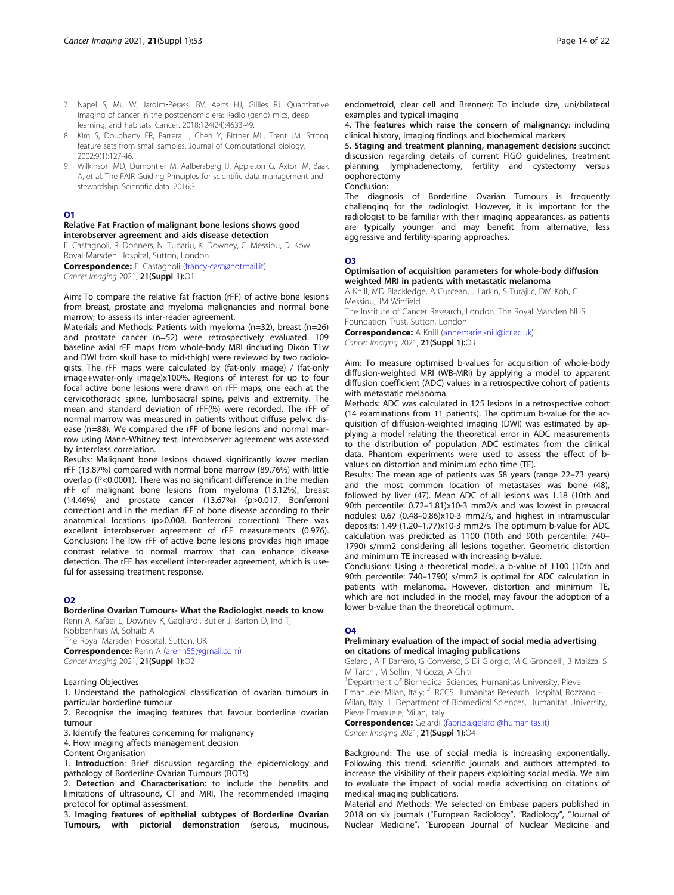- 8. Kim S, Dougherty ER, Barrera J, Chen Y, Bittner ML, Trent JM. Strong feature sets from small samples. Journal of Computational biology. 2002;9(1):127-46.
- 9. Wilkinson MD, Dumontier M, Aalbersberg IJ, Appleton G, Axton M, Baak A, et al. The FAIR Guiding Principles for scientific data management and stewardship. Scientific data. 2016;3.

### O1

### Relative Fat Fraction of malignant bone lesions shows good interobserver agreement and aids disease detection

F. Castagnoli, R. Donners, N. Tunariu, K. Downey, C. Messiou, D. Kow Royal Marsden Hospital, Sutton, London

Correspondence: F. Castagnoli ([francy-cast@hotmail.it](mailto:francy-cast@hotmail.it)) Cancer Imaging 2021, 21(Suppl 1):01

Aim: To compare the relative fat fraction (rFF) of active bone lesions from breast, prostate and myeloma malignancies and normal bone marrow; to assess its inter-reader agreement.

Materials and Methods: Patients with myeloma (n=32), breast (n=26) and prostate cancer (n=52) were retrospectively evaluated. 109 baseline axial rFF maps from whole-body MRI (including Dixon T1w and DWI from skull base to mid-thigh) were reviewed by two radiologists. The rFF maps were calculated by (fat-only image) / (fat-only image+water-only image)x100%. Regions of interest for up to four focal active bone lesions were drawn on rFF maps, one each at the cervicothoracic spine, lumbosacral spine, pelvis and extremity. The mean and standard deviation of rFF(%) were recorded. The rFF of normal marrow was measured in patients without diffuse pelvic disease (n=88). We compared the rFF of bone lesions and normal marrow using Mann-Whitney test. Interobserver agreement was assessed by interclass correlation.

Results: Malignant bone lesions showed significantly lower median rFF (13.87%) compared with normal bone marrow (89.76%) with little overlap (P<0.0001). There was no significant difference in the median rFF of malignant bone lesions from myeloma (13.12%), breast (14.46%) and prostate cancer (13.67%) (p>0.017, Bonferroni correction) and in the median rFF of bone disease according to their anatomical locations (p>0.008, Bonferroni correction). There was excellent interobserver agreement of rFF measurements (0.976). Conclusion: The low rFF of active bone lesions provides high image contrast relative to normal marrow that can enhance disease detection. The rFF has excellent inter-reader agreement, which is useful for assessing treatment response.

### O<sub>2</sub>

### Borderline Ovarian Tumours- What the Radiologist needs to know

Renn A, Kafaei L, Downey K, Gagliardi, Butler J, Barton D, Ind T, Nobbenhuis M, Sohaib A The Royal Marsden Hospital, Sutton, UK

Correspondence: Renn A ([arenn55@gmail.com](mailto:arenn55@gmail.com)) Cancer Imaging 2021, 21(Suppl 1):O2

Learning Objectives

1. Understand the pathological classification of ovarian tumours in particular borderline tumour

2. Recognise the imaging features that favour borderline ovarian tumour

3. Identify the features concerning for malignancy

4. How imaging affects management decision

Content Organisation

1. Introduction: Brief discussion regarding the epidemiology and pathology of Borderline Ovarian Tumours (BOTs)

2. Detection and Characterisation: to include the benefits and limitations of ultrasound, CT and MRI. The recommended imaging protocol for optimal assessment.

3. Imaging features of epithelial subtypes of Borderline Ovarian Tumours, with pictorial demonstration (serous, mucinous, endometroid, clear cell and Brenner): To include size, uni/bilateral examples and typical imaging

4. The features which raise the concern of malignancy: including clinical history, imaging findings and biochemical markers

5. Staging and treatment planning, management decision: succinct discussion regarding details of current FIGO guidelines, treatment planning, lymphadenectomy, fertility and cystectomy versus oophorectomy Conclusion:

The diagnosis of Borderline Ovarian Tumours is frequently challenging for the radiologist. However, it is important for the radiologist to be familiar with their imaging appearances, as patients are typically younger and may benefit from alternative, less aggressive and fertility-sparing approaches.

### O3

### Optimisation of acquisition parameters for whole-body diffusion weighted MRI in patients with metastatic melanoma

A Knill, MD Blackledge, A Curcean, J Larkin, S Turajlic, DM Koh, C Messiou, JM Winfield

The Institute of Cancer Research, London. The Royal Marsden NHS Foundation Trust, Sutton, London

Correspondence: A Knill ([annemarie.knill@icr.ac.uk\)](mailto:annemarie.knill@icr.ac.uk) Cancer Imaging 2021, 21(Suppl 1):03

Aim: To measure optimised b-values for acquisition of whole-body diffusion-weighted MRI (WB-MRI) by applying a model to apparent diffusion coefficient (ADC) values in a retrospective cohort of patients with metastatic melanoma.

Methods: ADC was calculated in 125 lesions in a retrospective cohort (14 examinations from 11 patients). The optimum b-value for the acquisition of diffusion-weighted imaging (DWI) was estimated by applying a model relating the theoretical error in ADC measurements to the distribution of population ADC estimates from the clinical data. Phantom experiments were used to assess the effect of bvalues on distortion and minimum echo time (TE).

Results: The mean age of patients was 58 years (range 22–73 years) and the most common location of metastases was bone (48), followed by liver (47). Mean ADC of all lesions was 1.18 (10th and 90th percentile: 0.72–1.81)x10-3 mm2/s and was lowest in presacral nodules: 0.67 (0.48–0.86)x10-3 mm2/s, and highest in intramuscular deposits: 1.49 (1.20–1.77)x10-3 mm2/s. The optimum b-value for ADC calculation was predicted as 1100 (10th and 90th percentile: 740– 1790) s/mm2 considering all lesions together. Geometric distortion and minimum TE increased with increasing b-value.

Conclusions: Using a theoretical model, a b-value of 1100 (10th and 90th percentile: 740–1790) s/mm2 is optimal for ADC calculation in patients with melanoma. However, distortion and minimum TE, which are not included in the model, may favour the adoption of a lower b-value than the theoretical optimum.

### O4

### Preliminary evaluation of the impact of social media advertising on citations of medical imaging publications

Gelardi, A F Barrero, G Converso, S Di Giorgio, M C Grondelli, B Maizza, S M Tarchi, M Sollini, N Gozzi, A Chiti

<sup>1</sup>Department of Biomedical Sciences, Humanitas University, Pieve Emanuele, Milan, Italy; <sup>2</sup> IRCCS Humanitas Research Hospital, Rozzano -Milan, Italy, 1. Department of Biomedical Sciences, Humanitas University, Pieve Emanuele, Milan, Italy

Correspondence: Gelardi ([fabrizia.gelardi@humanitas.it\)](mailto:fabrizia.gelardi@humanitas.it)

Cancer Imaging 2021, 21(Suppl 1):04

Background: The use of social media is increasing exponentially. Following this trend, scientific journals and authors attempted to increase the visibility of their papers exploiting social media. We aim to evaluate the impact of social media advertising on citations of medical imaging publications.

Material and Methods: We selected on Embase papers published in 2018 on six journals ("European Radiology", "Radiology", "Journal of Nuclear Medicine", "European Journal of Nuclear Medicine and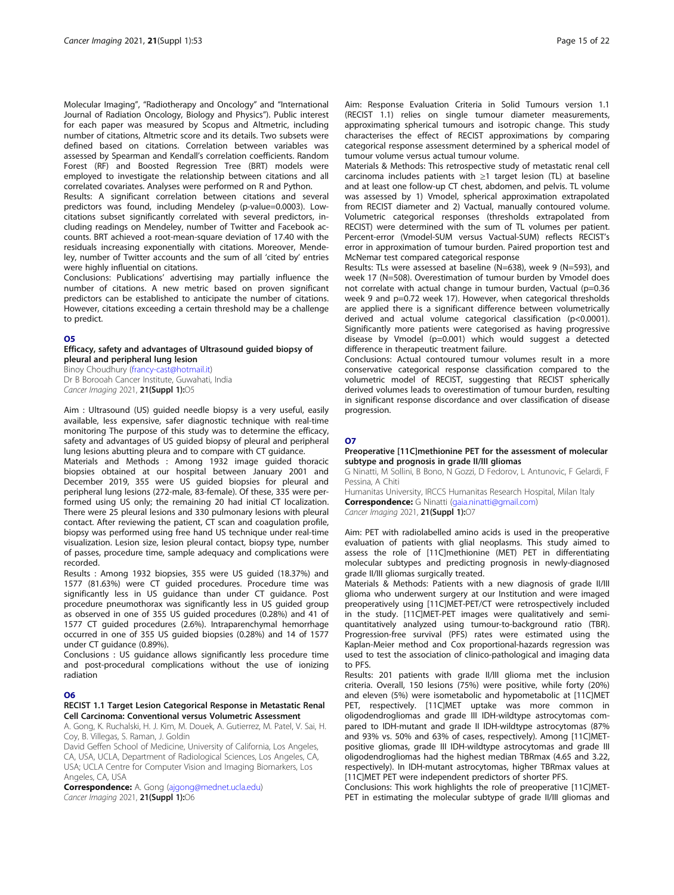Molecular Imaging", "Radiotherapy and Oncology" and "International Journal of Radiation Oncology, Biology and Physics"). Public interest for each paper was measured by Scopus and Altmetric, including number of citations, Altmetric score and its details. Two subsets were defined based on citations. Correlation between variables was assessed by Spearman and Kendall's correlation coefficients. Random Forest (RF) and Boosted Regression Tree (BRT) models were employed to investigate the relationship between citations and all correlated covariates. Analyses were performed on R and Python.

Results: A significant correlation between citations and several predictors was found, including Mendeley (p-value=0.0003). Lowcitations subset significantly correlated with several predictors, including readings on Mendeley, number of Twitter and Facebook accounts. BRT achieved a root-mean-square deviation of 17.40 with the residuals increasing exponentially with citations. Moreover, Mendeley, number of Twitter accounts and the sum of all 'cited by' entries were highly influential on citations.

Conclusions: Publications' advertising may partially influence the number of citations. A new metric based on proven significant predictors can be established to anticipate the number of citations. However, citations exceeding a certain threshold may be a challenge to predict.

### O<sub>5</sub>

### Efficacy, safety and advantages of Ultrasound guided biopsy of pleural and peripheral lung lesion

Binoy Choudhury ([francy-cast@hotmail.it\)](mailto:francy-cast@hotmail.it)

Dr B Borooah Cancer Institute, Guwahati, India Cancer Imaging 2021, 21(Suppl 1):05

Aim : Ultrasound (US) guided needle biopsy is a very useful, easily available, less expensive, safer diagnostic technique with real-time monitoring The purpose of this study was to determine the efficacy, safety and advantages of US guided biopsy of pleural and peripheral lung lesions abutting pleura and to compare with CT guidance.

Materials and Methods : Among 1932 image guided thoracic biopsies obtained at our hospital between January 2001 and December 2019, 355 were US guided biopsies for pleural and peripheral lung lesions (272-male, 83-female). Of these, 335 were performed using US only; the remaining 20 had initial CT localization. There were 25 pleural lesions and 330 pulmonary lesions with pleural contact. After reviewing the patient, CT scan and coagulation profile, biopsy was performed using free hand US technique under real-time visualization. Lesion size, lesion pleural contact, biopsy type, number of passes, procedure time, sample adequacy and complications were recorded.

Results : Among 1932 biopsies, 355 were US guided (18.37%) and 1577 (81.63%) were CT guided procedures. Procedure time was significantly less in US guidance than under CT guidance. Post procedure pneumothorax was significantly less in US guided group as observed in one of 355 US guided procedures (0.28%) and 41 of 1577 CT guided procedures (2.6%). Intraparenchymal hemorrhage occurred in one of 355 US guided biopsies (0.28%) and 14 of 1577 under CT guidance (0.89%).

Conclusions : US guidance allows significantly less procedure time and post-procedural complications without the use of ionizing radiation

### O6

### RECIST 1.1 Target Lesion Categorical Response in Metastatic Renal Cell Carcinoma: Conventional versus Volumetric Assessment

A. Gong, K. Ruchalski, H. J. Kim, M. Douek, A. Gutierrez, M. Patel, V. Sai, H. Coy, B. Villegas, S. Raman, J. Goldin

David Geffen School of Medicine, University of California, Los Angeles, CA, USA, UCLA, Department of Radiological Sciences, Los Angeles, CA, USA; UCLA Centre for Computer Vision and Imaging Biomarkers, Los Angeles, CA, USA

Correspondence: A. Gong [\(ajgong@mednet.ucla.edu](mailto:ajgong@mednet.ucla.edu)) Cancer Imaging 2021, 21(Suppl 1):06

Aim: Response Evaluation Criteria in Solid Tumours version 1.1 (RECIST 1.1) relies on single tumour diameter measurements, approximating spherical tumours and isotropic change. This study characterises the effect of RECIST approximations by comparing categorical response assessment determined by a spherical model of tumour volume versus actual tumour volume.

Materials & Methods: This retrospective study of metastatic renal cell carcinoma includes patients with ≥1 target lesion (TL) at baseline and at least one follow-up CT chest, abdomen, and pelvis. TL volume was assessed by 1) Vmodel, spherical approximation extrapolated from RECIST diameter and 2) Vactual, manually contoured volume. Volumetric categorical responses (thresholds extrapolated from RECIST) were determined with the sum of TL volumes per patient. Percent-error (Vmodel-SUM versus Vactual-SUM) reflects RECIST's error in approximation of tumour burden. Paired proportion test and McNemar test compared categorical response

Results: TLs were assessed at baseline (N=638), week 9 (N=593), and week 17 (N=508). Overestimation of tumour burden by Vmodel does not correlate with actual change in tumour burden, Vactual (p=0.36 week 9 and p=0.72 week 17). However, when categorical thresholds are applied there is a significant difference between volumetrically derived and actual volume categorical classification (p<0.0001). Significantly more patients were categorised as having progressive disease by Vmodel (p=0.001) which would suggest a detected difference in therapeutic treatment failure.

Conclusions: Actual contoured tumour volumes result in a more conservative categorical response classification compared to the volumetric model of RECIST, suggesting that RECIST spherically derived volumes leads to overestimation of tumour burden, resulting in significant response discordance and over classification of disease progression.

### O7

### Preoperative [11C]methionine PET for the assessment of molecular subtype and prognosis in grade II/III gliomas

G Ninatti, M Sollini, B Bono, N Gozzi, D Fedorov, L Antunovic, F Gelardi, F Pessina, A Chiti

Humanitas University, IRCCS Humanitas Research Hospital, Milan Italy Correspondence: G Ninatti [\(gaia.ninatti@gmail.com\)](mailto:gaia.ninatti@gmail.com) Cancer Imaging 2021, 21(Suppl 1):07

Aim: PET with radiolabelled amino acids is used in the preoperative evaluation of patients with glial neoplasms. This study aimed to assess the role of [11C]methionine (MET) PET in differentiating molecular subtypes and predicting prognosis in newly-diagnosed grade II/III gliomas surgically treated.

Materials & Methods: Patients with a new diagnosis of grade II/III glioma who underwent surgery at our Institution and were imaged preoperatively using [11C]MET-PET/CT were retrospectively included in the study. [11C]MET-PET images were qualitatively and semiquantitatively analyzed using tumour-to-background ratio (TBR). Progression-free survival (PFS) rates were estimated using the Kaplan-Meier method and Cox proportional-hazards regression was used to test the association of clinico-pathological and imaging data to PFS.

Results: 201 patients with grade II/III glioma met the inclusion criteria. Overall, 150 lesions (75%) were positive, while forty (20%) and eleven (5%) were isometabolic and hypometabolic at [11C]MET PET, respectively. [11C]MET uptake was more common in oligodendrogliomas and grade III IDH-wildtype astrocytomas compared to IDH-mutant and grade II IDH-wildtype astrocytomas (87% and 93% vs. 50% and 63% of cases, respectively). Among [11C]METpositive gliomas, grade III IDH-wildtype astrocytomas and grade III oligodendrogliomas had the highest median TBRmax (4.65 and 3.22, respectively). In IDH-mutant astrocytomas, higher TBRmax values at [11C]MET PET were independent predictors of shorter PFS.

Conclusions: This work highlights the role of preoperative [11C]MET-PET in estimating the molecular subtype of grade II/III gliomas and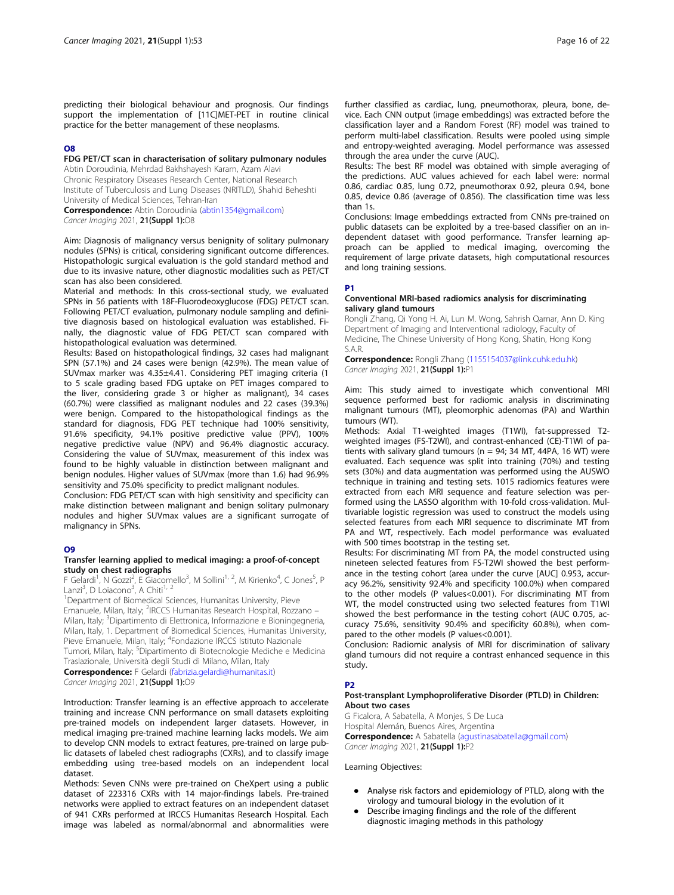predicting their biological behaviour and prognosis. Our findings support the implementation of [11C]MET-PET in routine clinical practice for the better management of these neoplasms.

### O8

### FDG PET/CT scan in characterisation of solitary pulmonary nodules

Abtin Doroudinia, Mehrdad Bakhshayesh Karam, Azam Alavi Chronic Respiratory Diseases Research Center, National Research Institute of Tuberculosis and Lung Diseases (NRITLD), Shahid Beheshti University of Medical Sciences, Tehran-Iran Correspondence: Abtin Doroudinia ([abtin1354@gmail.com](mailto:abtin1354@gmail.com))

Cancer Imaging 2021, 21(Suppl 1):08

Aim: Diagnosis of malignancy versus benignity of solitary pulmonary nodules (SPNs) is critical, considering significant outcome differences. Histopathologic surgical evaluation is the gold standard method and due to its invasive nature, other diagnostic modalities such as PET/CT scan has also been considered.

Material and methods: In this cross-sectional study, we evaluated SPNs in 56 patients with 18F-Fluorodeoxyglucose (FDG) PET/CT scan. Following PET/CT evaluation, pulmonary nodule sampling and definitive diagnosis based on histological evaluation was established. Finally, the diagnostic value of FDG PET/CT scan compared with histopathological evaluation was determined.

Results: Based on histopathological findings, 32 cases had malignant SPN (57.1%) and 24 cases were benign (42.9%). The mean value of SUVmax marker was 4.35±4.41. Considering PET imaging criteria (1 to 5 scale grading based FDG uptake on PET images compared to the liver, considering grade 3 or higher as malignant), 34 cases (60.7%) were classified as malignant nodules and 22 cases (39.3%) were benign. Compared to the histopathological findings as the standard for diagnosis, FDG PET technique had 100% sensitivity, 91.6% specificity, 94.1% positive predictive value (PPV), 100% negative predictive value (NPV) and 96.4% diagnostic accuracy. Considering the value of SUVmax, measurement of this index was found to be highly valuable in distinction between malignant and benign nodules. Higher values of SUVmax (more than 1.6) had 96.9% sensitivity and 75.0% specificity to predict malignant nodules.

Conclusion: FDG PET/CT scan with high sensitivity and specificity can make distinction between malignant and benign solitary pulmonary nodules and higher SUVmax values are a significant surrogate of malignancy in SPNs.

### O9

### Transfer learning applied to medical imaging: a proof-of-concept study on chest radiographs

F Gelardi<sup>1</sup>, N Gozzi<sup>2</sup>, E Giacomello<sup>3</sup>, M Sollini<sup>1, 2</sup>, M Kirienko<sup>4</sup>, C Jones<sup>5</sup>, P Lanzi<sup>3</sup>, D Loiacono<sup>3</sup>, A Chiti<sup>1, 2</sup>

<sup>1</sup>Department of Biomedical Sciences, Humanitas University, Pieve Emanuele, Milan, Italy; <sup>2</sup>IRCCS Humanitas Research Hospital, Rozzano -Milan, Italy; <sup>3</sup>Dipartimento di Elettronica, Informazione e Bioningegneria, Milan, Italy, 1. Department of Biomedical Sciences, Humanitas University, Pieve Emanuele, Milan, Italy; <sup>4</sup>Fondazione IRCCS Istituto Nazionale

Tumori, Milan, Italy; <sup>5</sup>Dipartimento di Biotecnologie Mediche e Medicina Traslazionale, Università degli Studi di Milano, Milan, Italy

Correspondence: F Gelardi ([fabrizia.gelardi@humanitas.it](mailto:fabrizia.gelardi@humanitas.it)) Cancer Imaging 2021, 21(Suppl 1):09

Introduction: Transfer learning is an effective approach to accelerate training and increase CNN performance on small datasets exploiting pre-trained models on independent larger datasets. However, in medical imaging pre-trained machine learning lacks models. We aim to develop CNN models to extract features, pre-trained on large public datasets of labeled chest radiographs (CXRs), and to classify image embedding using tree-based models on an independent local dataset.

Methods: Seven CNNs were pre-trained on CheXpert using a public dataset of 223316 CXRs with 14 major-findings labels. Pre-trained networks were applied to extract features on an independent dataset of 941 CXRs performed at IRCCS Humanitas Research Hospital. Each image was labeled as normal/abnormal and abnormalities were further classified as cardiac, lung, pneumothorax, pleura, bone, device. Each CNN output (image embeddings) was extracted before the classification layer and a Random Forest (RF) model was trained to perform multi-label classification. Results were pooled using simple and entropy-weighted averaging. Model performance was assessed through the area under the curve (AUC).

Results: The best RF model was obtained with simple averaging of the predictions. AUC values achieved for each label were: normal 0.86, cardiac 0.85, lung 0.72, pneumothorax 0.92, pleura 0.94, bone 0.85, device 0.86 (average of 0.856). The classification time was less than 1s.

Conclusions: Image embeddings extracted from CNNs pre-trained on public datasets can be exploited by a tree-based classifier on an independent dataset with good performance. Transfer learning approach can be applied to medical imaging, overcoming the requirement of large private datasets, high computational resources and long training sessions.

### P1

### Conventional MRI-based radiomics analysis for discriminating salivary gland tumours

Rongli Zhang, Qi Yong H. Ai, Lun M. Wong, Sahrish Qamar, Ann D. King Department of Imaging and Interventional radiology, Faculty of Medicine, The Chinese University of Hong Kong, Shatin, Hong Kong S.A.R.

Correspondence: Rongli Zhang ([1155154037@link.cuhk.edu.hk\)](mailto:1155154037@link.cuhk.edu.hk) Cancer Imaging 2021, 21(Suppl 1):P1

Aim: This study aimed to investigate which conventional MRI sequence performed best for radiomic analysis in discriminating malignant tumours (MT), pleomorphic adenomas (PA) and Warthin tumours (WT).

Methods: Axial T1-weighted images (T1WI), fat-suppressed T2 weighted images (FS-T2WI), and contrast-enhanced (CE)-T1WI of patients with salivary gland tumours ( $n = 94$ ; 34 MT, 44PA, 16 WT) were evaluated. Each sequence was split into training (70%) and testing sets (30%) and data augmentation was performed using the AUSWO technique in training and testing sets. 1015 radiomics features were extracted from each MRI sequence and feature selection was performed using the LASSO algorithm with 10-fold cross-validation. Multivariable logistic regression was used to construct the models using selected features from each MRI sequence to discriminate MT from PA and WT, respectively. Each model performance was evaluated with 500 times bootstrap in the testing set.

Results: For discriminating MT from PA, the model constructed using nineteen selected features from FS-T2WI showed the best performance in the testing cohort (area under the curve [AUC] 0.953, accuracy 96.2%, sensitivity 92.4% and specificity 100.0%) when compared to the other models (P values<0.001). For discriminating MT from WT, the model constructed using two selected features from T1WI showed the best performance in the testing cohort (AUC 0.705, accuracy 75.6%, sensitivity 90.4% and specificity 60.8%), when compared to the other models (P values<0.001).

Conclusion: Radiomic analysis of MRI for discrimination of salivary gland tumours did not require a contrast enhanced sequence in this study.

### P2

### Post-transplant Lymphoproliferative Disorder (PTLD) in Children: About two cases

G Ficalora, A Sabatella, A Monjes, S De Luca Hospital Alemán, Buenos Aires, Argentina Correspondence: A Sabatella ([agustinasabatella@gmail.com](mailto:agustinasabatella@gmail.com)) Cancer Imaging 2021, 21(Suppl 1):P2

Learning Objectives:

- Analyse risk factors and epidemiology of PTLD, along with the virology and tumoural biology in the evolution of it
- Describe imaging findings and the role of the different diagnostic imaging methods in this pathology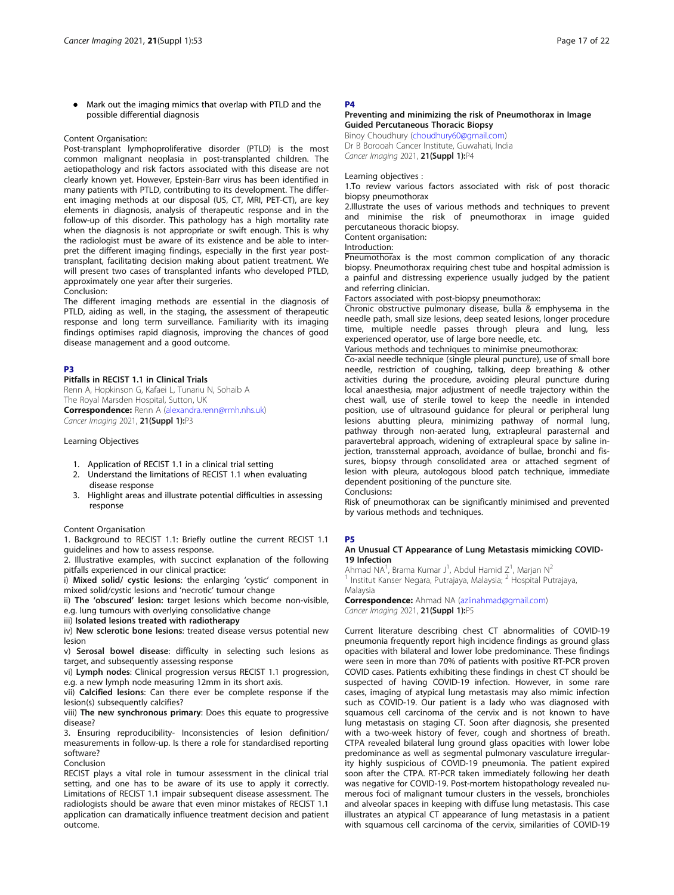Mark out the imaging mimics that overlap with PTLD and the possible differential diagnosis

#### Content Organisation:

Post-transplant lymphoproliferative disorder (PTLD) is the most common malignant neoplasia in post-transplanted children. The aetiopathology and risk factors associated with this disease are not clearly known yet. However, Epstein-Barr virus has been identified in many patients with PTLD, contributing to its development. The different imaging methods at our disposal (US, CT, MRI, PET-CT), are key elements in diagnosis, analysis of therapeutic response and in the follow-up of this disorder. This pathology has a high mortality rate when the diagnosis is not appropriate or swift enough. This is why the radiologist must be aware of its existence and be able to interpret the different imaging findings, especially in the first year posttransplant, facilitating decision making about patient treatment. We will present two cases of transplanted infants who developed PTLD, approximately one year after their surgeries.

### Conclusion:

The different imaging methods are essential in the diagnosis of PTLD, aiding as well, in the staging, the assessment of therapeutic response and long term surveillance. Familiarity with its imaging findings optimises rapid diagnosis, improving the chances of good disease management and a good outcome.

### P3

#### Pitfalls in RECIST 1.1 in Clinical Trials

Renn A, Hopkinson G, Kafaei L, Tunariu N, Sohaib A The Royal Marsden Hospital, Sutton, UK Correspondence: Renn A ([alexandra.renn@rmh.nhs.uk](mailto:alexandra.renn@rmh.nhs.uk)) Cancer Imaging 2021, 21(Suppl 1):P3

#### Learning Objectives

- 1. Application of RECIST 1.1 in a clinical trial setting
- 2. Understand the limitations of RECIST 1.1 when evaluating disease response
- 3. Highlight areas and illustrate potential difficulties in assessing response

### Content Organisation

1. Background to RECIST 1.1: Briefly outline the current RECIST 1.1 guidelines and how to assess response.

2. Illustrative examples, with succinct explanation of the following pitfalls experienced in our clinical practice:

i) Mixed solid/ cystic lesions: the enlarging 'cystic' component in mixed solid/cystic lesions and 'necrotic' tumour change

ii) The 'obscured' lesion: target lesions which become non-visible, e.g. lung tumours with overlying consolidative change

iii) Isolated lesions treated with radiotherapy

iv) New sclerotic bone lesions: treated disease versus potential new lesion

v) Serosal bowel disease: difficulty in selecting such lesions as target, and subsequently assessing response

vi) Lymph nodes: Clinical progression versus RECIST 1.1 progression, e.g. a new lymph node measuring 12mm in its short axis.

vii) Calcified lesions: Can there ever be complete response if the lesion(s) subsequently calcifies?

viii) The new synchronous primary: Does this equate to progressive disease?

3. Ensuring reproducibility- Inconsistencies of lesion definition/ measurements in follow-up. Is there a role for standardised reporting software?

Conclusion

RECIST plays a vital role in tumour assessment in the clinical trial setting, and one has to be aware of its use to apply it correctly. Limitations of RECIST 1.1 impair subsequent disease assessment. The radiologists should be aware that even minor mistakes of RECIST 1.1 application can dramatically influence treatment decision and patient outcome.

### P4

### Preventing and minimizing the risk of Pneumothorax in Image Guided Percutaneous Thoracic Biopsy

Binoy Choudhury ([choudhury60@gmail.com](mailto:choudhury60@gmail.com)) Dr B Borooah Cancer Institute, Guwahati, India Cancer Imaging 2021, 21(Suppl 1):P4

#### Learning objectives :

1.To review various factors associated with risk of post thoracic biopsy pneumothorax

2.Illustrate the uses of various methods and techniques to prevent and minimise the risk of pneumothorax in image guided percutaneous thoracic biopsy.

### Content organisation:

Introduction:

Pneumothorax is the most common complication of any thoracic biopsy. Pneumothorax requiring chest tube and hospital admission is a painful and distressing experience usually judged by the patient and referring clinician.

Factors associated with post-biopsy pneumothorax:

Chronic obstructive pulmonary disease, bulla & emphysema in the needle path, small size lesions, deep seated lesions, longer procedure time, multiple needle passes through pleura and lung, less experienced operator, use of large bore needle, etc.

Various methods and techniques to minimise pneumothorax:

Co-axial needle technique (single pleural puncture), use of small bore needle, restriction of coughing, talking, deep breathing & other activities during the procedure, avoiding pleural puncture during local anaesthesia, major adjustment of needle trajectory within the chest wall, use of sterile towel to keep the needle in intended position, use of ultrasound guidance for pleural or peripheral lung lesions abutting pleura, minimizing pathway of normal lung, pathway through non-aerated lung, extrapleural parasternal and paravertebral approach, widening of extrapleural space by saline injection, transsternal approach, avoidance of bullae, bronchi and fissures, biopsy through consolidated area or attached segment of lesion with pleura, autologous blood patch technique, immediate dependent positioning of the puncture site.

Conclusions:

Risk of pneumothorax can be significantly minimised and prevented by various methods and techniques.

#### P5

### An Unusual CT Appearance of Lung Metastasis mimicking COVID-19 Infection

Ahmad NA<sup>1</sup>, Brama Kumar J<sup>1</sup>, Abdul Hamid Z<sup>1</sup>, Marjan N<sup>2</sup> <sup>1</sup> Institut Kanser Negara, Putrajaya, Malaysia; <sup>2</sup> Hospital Putrajaya, Malaysia

Correspondence: Ahmad NA [\(azlinahmad@gmail.com](mailto:azlinahmad@gmail.com)) Cancer Imaging 2021, 21(Suppl 1):P5

Current literature describing chest CT abnormalities of COVID-19 pneumonia frequently report high incidence findings as ground glass opacities with bilateral and lower lobe predominance. These findings were seen in more than 70% of patients with positive RT-PCR proven COVID cases. Patients exhibiting these findings in chest CT should be suspected of having COVID-19 infection. However, in some rare cases, imaging of atypical lung metastasis may also mimic infection such as COVID-19. Our patient is a lady who was diagnosed with squamous cell carcinoma of the cervix and is not known to have lung metastasis on staging CT. Soon after diagnosis, she presented with a two-week history of fever, cough and shortness of breath. CTPA revealed bilateral lung ground glass opacities with lower lobe predominance as well as segmental pulmonary vasculature irregularity highly suspicious of COVID-19 pneumonia. The patient expired soon after the CTPA. RT-PCR taken immediately following her death was negative for COVID-19. Post-mortem histopathology revealed numerous foci of malignant tumour clusters in the vessels, bronchioles and alveolar spaces in keeping with diffuse lung metastasis. This case illustrates an atypical CT appearance of lung metastasis in a patient with squamous cell carcinoma of the cervix, similarities of COVID-19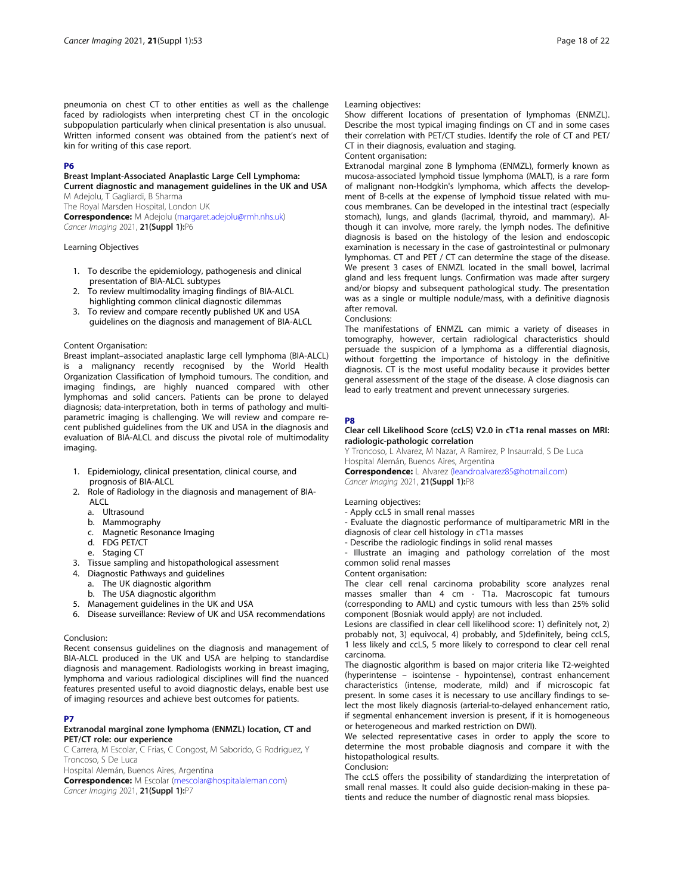pneumonia on chest CT to other entities as well as the challenge faced by radiologists when interpreting chest CT in the oncologic subpopulation particularly when clinical presentation is also unusual. Written informed consent was obtained from the patient's next of kin for writing of this case report.

### **D<sub>6</sub>**

### Breast Implant-Associated Anaplastic Large Cell Lymphoma: Current diagnostic and management guidelines in the UK and USA

M Adejolu, T Gagliardi, B Sharma

The Royal Marsden Hospital, London UK Correspondence: M Adejolu [\(margaret.adejolu@rmh.nhs.uk](mailto:margaret.adejolu@rmh.nhs.uk)) Cancer Imaging 2021, 21(Suppl 1):P6

### Learning Objectives

- 1. To describe the epidemiology, pathogenesis and clinical presentation of BIA-ALCL subtypes
- 2. To review multimodality imaging findings of BIA-ALCL highlighting common clinical diagnostic dilemmas
- 3. To review and compare recently published UK and USA guidelines on the diagnosis and management of BIA-ALCL

### Content Organisation:

Breast implant–associated anaplastic large cell lymphoma (BIA-ALCL) is a malignancy recently recognised by the World Health Organization Classification of lymphoid tumours. The condition, and imaging findings, are highly nuanced compared with other lymphomas and solid cancers. Patients can be prone to delayed diagnosis; data-interpretation, both in terms of pathology and multiparametric imaging is challenging. We will review and compare recent published guidelines from the UK and USA in the diagnosis and evaluation of BIA-ALCL and discuss the pivotal role of multimodality imaging.

- 1. Epidemiology, clinical presentation, clinical course, and prognosis of BIA-ALCL
- 2. Role of Radiology in the diagnosis and management of BIA-ALCL
	- a. Ultrasound
	- b. Mammography
	- c. Magnetic Resonance Imaging
	- d. FDG PET/CT
	- e. Staging CT
- 3. Tissue sampling and histopathological assessment
- 4. Diagnostic Pathways and guidelines
	- a. The UK diagnostic algorithm
	- b. The USA diagnostic algorithm
- 5. Management guidelines in the UK and USA
- 6. Disease surveillance: Review of UK and USA recommendations

### Conclusion:

Recent consensus guidelines on the diagnosis and management of BIA-ALCL produced in the UK and USA are helping to standardise diagnosis and management. Radiologists working in breast imaging, lymphoma and various radiological disciplines will find the nuanced features presented useful to avoid diagnostic delays, enable best use of imaging resources and achieve best outcomes for patients.

### P7

### Extranodal marginal zone lymphoma (ENMZL) location, CT and PET/CT role: our experience

C Carrera, M Escolar, C Frias, C Congost, M Saborido, G Rodriguez, Y Troncoso, S De Luca

Hospital Alemán, Buenos Aires, Argentina

Correspondence: M Escolar ([mescolar@hospitalaleman.com\)](mailto:mescolar@hospitalaleman.com) Cancer Imaging 2021, 21(Suppl 1):P7

Show different locations of presentation of lymphomas (ENMZL). Describe the most typical imaging findings on CT and in some cases their correlation with PET/CT studies. Identify the role of CT and PET/ CT in their diagnosis, evaluation and staging.

Content organisation:

Extranodal marginal zone B lymphoma (ENMZL), formerly known as mucosa-associated lymphoid tissue lymphoma (MALT), is a rare form of malignant non-Hodgkin's lymphoma, which affects the development of B-cells at the expense of lymphoid tissue related with mucous membranes. Can be developed in the intestinal tract (especially stomach), lungs, and glands (lacrimal, thyroid, and mammary). Although it can involve, more rarely, the lymph nodes. The definitive diagnosis is based on the histology of the lesion and endoscopic examination is necessary in the case of gastrointestinal or pulmonary lymphomas. CT and PET / CT can determine the stage of the disease. We present 3 cases of ENMZL located in the small bowel, lacrimal gland and less frequent lungs. Confirmation was made after surgery and/or biopsy and subsequent pathological study. The presentation was as a single or multiple nodule/mass, with a definitive diagnosis after removal.

Conclusions:

The manifestations of ENMZL can mimic a variety of diseases in tomography, however, certain radiological characteristics should persuade the suspicion of a lymphoma as a differential diagnosis, without forgetting the importance of histology in the definitive diagnosis. CT is the most useful modality because it provides better general assessment of the stage of the disease. A close diagnosis can lead to early treatment and prevent unnecessary surgeries.

### P8

### Clear cell Likelihood Score (ccLS) V2.0 in cT1a renal masses on MRI: radiologic-pathologic correlation

Y Troncoso, L Alvarez, M Nazar, A Ramirez, P Insaurrald, S De Luca Hospital Alemán, Buenos Aires, Argentina

Correspondence: L Alvarez [\(leandroalvarez85@hotmail.com](mailto:leandroalvarez85@hotmail.com)) Cancer Imaging 2021, 21(Suppl 1):P8

Learning objectives:

- Apply ccLS in small renal masses

- Evaluate the diagnostic performance of multiparametric MRI in the diagnosis of clear cell histology in cT1a masses

- Describe the radiologic findings in solid renal masses
- Illustrate an imaging and pathology correlation of the most common solid renal masses
- Content organisation:

The clear cell renal carcinoma probability score analyzes renal masses smaller than 4 cm - T1a. Macroscopic fat tumours (corresponding to AML) and cystic tumours with less than 25% solid component (Bosniak would apply) are not included.

Lesions are classified in clear cell likelihood score: 1) definitely not, 2) probably not, 3) equivocal, 4) probably, and 5)definitely, being ccLS, 1 less likely and ccLS, 5 more likely to correspond to clear cell renal carcinoma.

The diagnostic algorithm is based on major criteria like T2-weighted (hyperintense – isointense - hypointense), contrast enhancement characteristics (intense, moderate, mild) and if microscopic fat present. In some cases it is necessary to use ancillary findings to select the most likely diagnosis (arterial-to-delayed enhancement ratio, if segmental enhancement inversion is present, if it is homogeneous or heterogeneous and marked restriction on DWI).

We selected representative cases in order to apply the score to determine the most probable diagnosis and compare it with the histopathological results.

Conclusion:

The ccLS offers the possibility of standardizing the interpretation of small renal masses. It could also guide decision-making in these patients and reduce the number of diagnostic renal mass biopsies.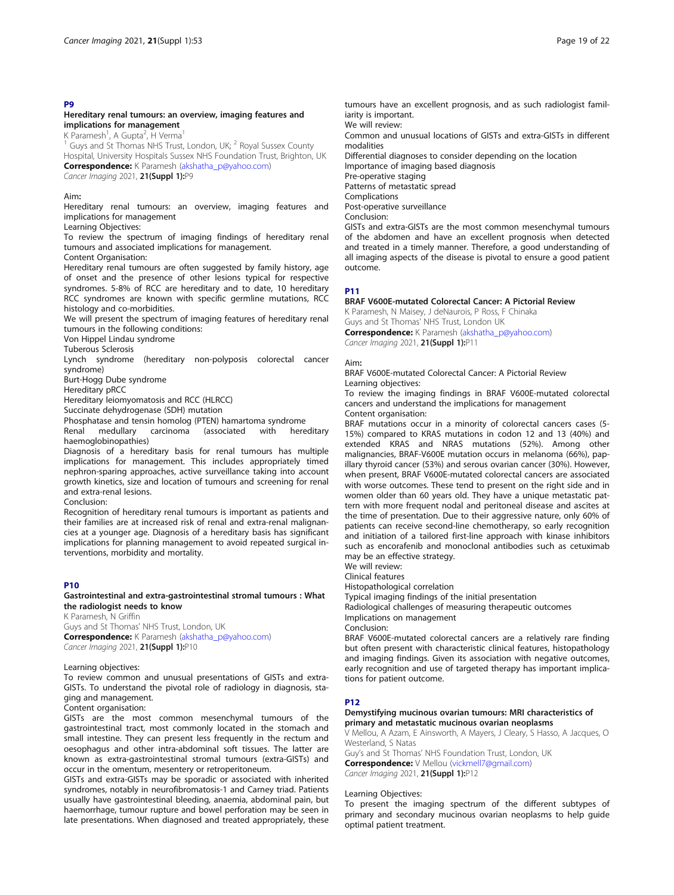### P9

### Hereditary renal tumours: an overview, imaging features and implications for management

K Paramesh<sup>1</sup>, A Gupta<sup>2</sup>, H Verma<sup>1</sup>

Guys and St Thomas NHS Trust, London, UK; <sup>2</sup> Royal Sussex County Hospital, University Hospitals Sussex NHS Foundation Trust, Brighton, UK Correspondence: K Paramesh ([akshatha\\_p@yahoo.com\)](mailto:akshatha_p@yahoo.com) Cancer Imaging 2021, 21(Suppl 1):P9

### Aim:

Hereditary renal tumours: an overview, imaging features and implications for management

Learning Objectives:

To review the spectrum of imaging findings of hereditary renal tumours and associated implications for management.

Content Organisation:

Hereditary renal tumours are often suggested by family history, age of onset and the presence of other lesions typical for respective syndromes. 5-8% of RCC are hereditary and to date, 10 hereditary RCC syndromes are known with specific germline mutations, RCC histology and co-morbidities.

We will present the spectrum of imaging features of hereditary renal tumours in the following conditions:

Von Hippel Lindau syndrome

Tuberous Sclerosis

Lynch syndrome (hereditary non-polyposis colorectal cancer syndrome)

Burt-Hogg Dube syndrome

Hereditary pRCC

Hereditary leiomyomatosis and RCC (HLRCC)

Succinate dehydrogenase (SDH) mutation

Phosphatase and tensin homolog (PTEN) hamartoma syndrome<br>Renal medullary carcinoma (associated with here

Renal medullary carcinoma (associated with hereditary haemoglobinopathies)

Diagnosis of a hereditary basis for renal tumours has multiple implications for management. This includes appropriately timed nephron-sparing approaches, active surveillance taking into account growth kinetics, size and location of tumours and screening for renal and extra-renal lesions.

Conclusion:

Recognition of hereditary renal tumours is important as patients and their families are at increased risk of renal and extra-renal malignancies at a younger age. Diagnosis of a hereditary basis has significant implications for planning management to avoid repeated surgical interventions, morbidity and mortality.

### **P10**

### Gastrointestinal and extra-gastrointestinal stromal tumours : What the radiologist needs to know

K Paramesh, N Griffin Guys and St Thomas' NHS Trust, London, UK Correspondence: K Paramesh ([akshatha\\_p@yahoo.com\)](mailto:akshatha_p@yahoo.com) Cancer Imaging 2021, 21(Suppl 1):P10

## Learning objectives:

To review common and unusual presentations of GISTs and extra-GISTs. To understand the pivotal role of radiology in diagnosis, staging and management.

### Content organisation:

GISTs are the most common mesenchymal tumours of the gastrointestinal tract, most commonly located in the stomach and small intestine. They can present less frequently in the rectum and oesophagus and other intra-abdominal soft tissues. The latter are known as extra-gastrointestinal stromal tumours (extra-GISTs) and occur in the omentum, mesentery or retroperitoneum.

GISTs and extra-GISTs may be sporadic or associated with inherited syndromes, notably in neurofibromatosis-1 and Carney triad. Patients usually have gastrointestinal bleeding, anaemia, abdominal pain, but haemorrhage, tumour rupture and bowel perforation may be seen in late presentations. When diagnosed and treated appropriately, these

tumours have an excellent prognosis, and as such radiologist familiarity is important. We will review:

Common and unusual locations of GISTs and extra-GISTs in different modalities

Differential diagnoses to consider depending on the location Importance of imaging based diagnosis Pre-operative staging Patterns of metastatic spread Complications Post-operative surveillance Conclusion:

GISTs and extra-GISTs are the most common mesenchymal tumours of the abdomen and have an excellent prognosis when detected and treated in a timely manner. Therefore, a good understanding of all imaging aspects of the disease is pivotal to ensure a good patient outcome.

### P11

### BRAF V600E-mutated Colorectal Cancer: A Pictorial Review

K Paramesh, N Maisey, J deNaurois, P Ross, F Chinaka Guys and St Thomas' NHS Trust, London UK Correspondence: K Paramesh ([akshatha\\_p@yahoo.com\)](mailto:akshatha_p@yahoo.com) Cancer Imaging 2021, 21(Suppl 1):P11

#### Aim:

BRAF V600E-mutated Colorectal Cancer: A Pictorial Review Learning objectives:

To review the imaging findings in BRAF V600E-mutated colorectal cancers and understand the implications for management Content organisation:

BRAF mutations occur in a minority of colorectal cancers cases (5- 15%) compared to KRAS mutations in codon 12 and 13 (40%) and extended KRAS and NRAS mutations (52%). Among other malignancies, BRAF-V600E mutation occurs in melanoma (66%), papillary thyroid cancer (53%) and serous ovarian cancer (30%). However, when present, BRAF V600E-mutated colorectal cancers are associated with worse outcomes. These tend to present on the right side and in women older than 60 years old. They have a unique metastatic pattern with more frequent nodal and peritoneal disease and ascites at the time of presentation. Due to their aggressive nature, only 60% of patients can receive second-line chemotherapy, so early recognition and initiation of a tailored first-line approach with kinase inhibitors such as encorafenib and monoclonal antibodies such as cetuximab may be an effective strategy.

We will review:

Clinical features

Histopathological correlation

Typical imaging findings of the initial presentation

Radiological challenges of measuring therapeutic outcomes Implications on management

Conclusion:

BRAF V600E-mutated colorectal cancers are a relatively rare finding but often present with characteristic clinical features, histopathology and imaging findings. Given its association with negative outcomes, early recognition and use of targeted therapy has important implications for patient outcome.

### P12

#### Demystifying mucinous ovarian tumours: MRI characteristics of primary and metastatic mucinous ovarian neoplasms

V Mellou, A Azam, E Ainsworth, A Mayers, J Cleary, S Hasso, A Jacques, O Westerland, S Natas

Guy's and St Thomas' NHS Foundation Trust, London, UK Correspondence: V Mellou ([vickmell7@gmail.com](mailto:vickmell7@gmail.com)) Cancer Imaging 2021, 21(Suppl 1):P12

### Learning Objectives: To present the imaging spectrum of the different subtypes of primary and secondary mucinous ovarian neoplasms to help guide optimal patient treatment.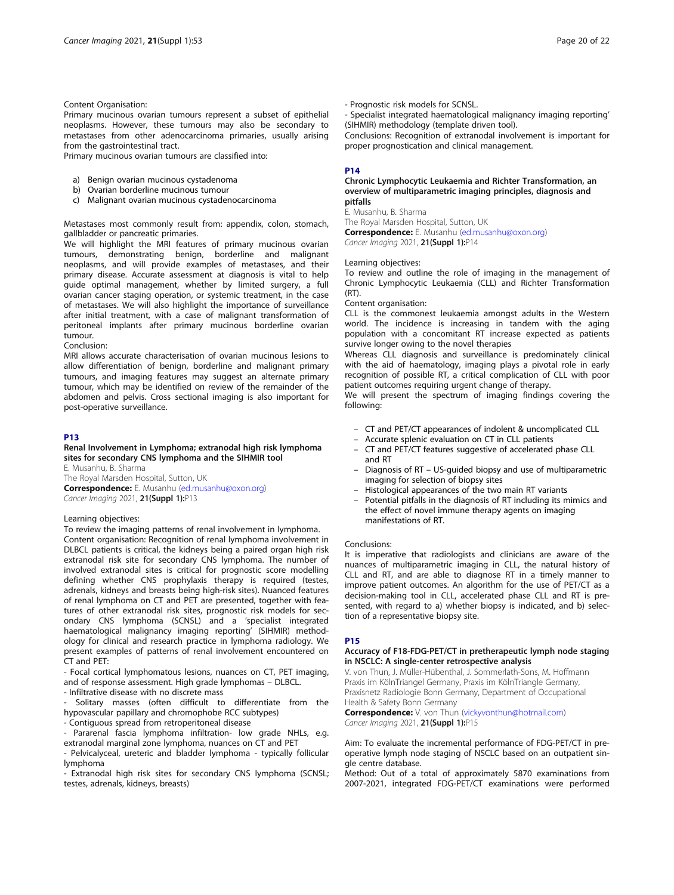### Content Organisation:

Primary mucinous ovarian tumours represent a subset of epithelial neoplasms. However, these tumours may also be secondary to metastases from other adenocarcinoma primaries, usually arising from the gastrointestinal tract.

Primary mucinous ovarian tumours are classified into:

- a) Benign ovarian mucinous cystadenoma
- b) Ovarian borderline mucinous tumour
- c) Malignant ovarian mucinous cystadenocarcinoma

Metastases most commonly result from: appendix, colon, stomach, gallbladder or pancreatic primaries.

We will highlight the MRI features of primary mucinous ovarian tumours, demonstrating benign, borderline and malignant neoplasms, and will provide examples of metastases, and their primary disease. Accurate assessment at diagnosis is vital to help guide optimal management, whether by limited surgery, a full ovarian cancer staging operation, or systemic treatment, in the case of metastases. We will also highlight the importance of surveillance after initial treatment, with a case of malignant transformation of peritoneal implants after primary mucinous borderline ovarian tumour.

Conclusion:

MRI allows accurate characterisation of ovarian mucinous lesions to allow differentiation of benign, borderline and malignant primary tumours, and imaging features may suggest an alternate primary tumour, which may be identified on review of the remainder of the abdomen and pelvis. Cross sectional imaging is also important for post-operative surveillance.

### P13

### Renal Involvement in Lymphoma; extranodal high risk lymphoma sites for secondary CNS lymphoma and the SIHMIR tool

E. Musanhu, B. Sharma The Royal Marsden Hospital, Sutton, UK Correspondence: E. Musanhu [\(ed.musanhu@oxon.org](mailto:ed.musanhu@oxon.org)) Cancer Imaging 2021, 21(Suppl 1):P13

#### Learning objectives:

To review the imaging patterns of renal involvement in lymphoma. Content organisation: Recognition of renal lymphoma involvement in DLBCL patients is critical, the kidneys being a paired organ high risk extranodal risk site for secondary CNS lymphoma. The number of involved extranodal sites is critical for prognostic score modelling defining whether CNS prophylaxis therapy is required (testes, adrenals, kidneys and breasts being high-risk sites). Nuanced features of renal lymphoma on CT and PET are presented, together with features of other extranodal risk sites, prognostic risk models for secondary CNS lymphoma (SCNSL) and a 'specialist integrated haematological malignancy imaging reporting' (SIHMIR) methodology for clinical and research practice in lymphoma radiology. We present examples of patterns of renal involvement encountered on CT and PET:

- Focal cortical lymphomatous lesions, nuances on CT, PET imaging, and of response assessment. High grade lymphomas – DLBCL.

- Infiltrative disease with no discrete mass

Solitary masses (often difficult to differentiate from the hypovascular papillary and chromophobe RCC subtypes)

- Contiguous spread from retroperitoneal disease

- Pararenal fascia lymphoma infiltration- low grade NHLs, e.g. extranodal marginal zone lymphoma, nuances on CT and PET

Pelvicalyceal, ureteric and bladder lymphoma - typically follicular lymphoma

- Extranodal high risk sites for secondary CNS lymphoma (SCNSL; testes, adrenals, kidneys, breasts)

- Specialist integrated haematological malignancy imaging reporting' (SIHMIR) methodology (template driven tool).

Conclusions: Recognition of extranodal involvement is important for proper prognostication and clinical management.

### P14

### Chronic Lymphocytic Leukaemia and Richter Transformation, an overview of multiparametric imaging principles, diagnosis and pitfalls

E. Musanhu, B. Sharma The Royal Marsden Hospital, Sutton, UK Correspondence: E. Musanhu [\(ed.musanhu@oxon.org\)](mailto:ed.musanhu@oxon.org) Cancer Imaging 2021, 21(Suppl 1):P14

#### Learning objectives:

To review and outline the role of imaging in the management of Chronic Lymphocytic Leukaemia (CLL) and Richter Transformation (RT).

### Content organisation:

CLL is the commonest leukaemia amongst adults in the Western world. The incidence is increasing in tandem with the aging population with a concomitant RT increase expected as patients survive longer owing to the novel therapies

Whereas CLL diagnosis and surveillance is predominately clinical with the aid of haematology, imaging plays a pivotal role in early recognition of possible RT, a critical complication of CLL with poor patient outcomes requiring urgent change of therapy.

We will present the spectrum of imaging findings covering the following:

- CT and PET/CT appearances of indolent & uncomplicated CLL
- Accurate splenic evaluation on CT in CLL patients
- CT and PET/CT features suggestive of accelerated phase CLL and RT
- Diagnosis of RT US-guided biopsy and use of multiparametric imaging for selection of biopsy sites
- Histological appearances of the two main RT variants
- Potential pitfalls in the diagnosis of RT including its mimics and the effect of novel immune therapy agents on imaging manifestations of RT.

#### Conclusions:

It is imperative that radiologists and clinicians are aware of the nuances of multiparametric imaging in CLL, the natural history of CLL and RT, and are able to diagnose RT in a timely manner to improve patient outcomes. An algorithm for the use of PET/CT as a decision-making tool in CLL, accelerated phase CLL and RT is presented, with regard to a) whether biopsy is indicated, and b) selection of a representative biopsy site.

#### P15

### Accuracy of F18-FDG-PET/CT in pretherapeutic lymph node staging in NSCLC: A single-center retrospective analysis

V. von Thun, J. Müller-Hübenthal, J. Sommerlath-Sons, M. Hoffmann Praxis im KölnTriangel Germany, Praxis im KölnTriangle Germany, Praxisnetz Radiologie Bonn Germany, Department of Occupational Health & Safety Bonn Germany

Correspondence: V. von Thun [\(vickyvonthun@hotmail.com](mailto:vickyvonthun@hotmail.com)) Cancer Imaging 2021, 21(Suppl 1):P15

Aim: To evaluate the incremental performance of FDG-PET/CT in preoperative lymph node staging of NSCLC based on an outpatient single centre database.

Method: Out of a total of approximately 5870 examinations from 2007-2021, integrated FDG-PET/CT examinations were performed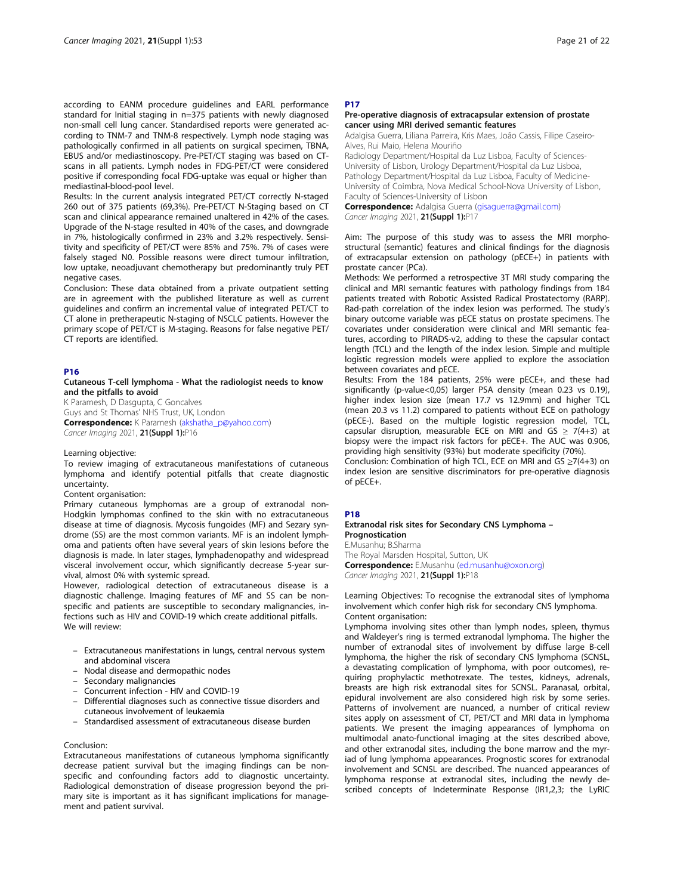according to EANM procedure guidelines and EARL performance standard for Initial staging in n=375 patients with newly diagnosed non-small cell lung cancer. Standardised reports were generated according to TNM-7 and TNM-8 respectively. Lymph node staging was pathologically confirmed in all patients on surgical specimen, TBNA, EBUS and/or mediastinoscopy. Pre-PET/CT staging was based on CTscans in all patients. Lymph nodes in FDG-PET/CT were considered positive if corresponding focal FDG-uptake was equal or higher than mediastinal-blood-pool level.

Results: In the current analysis integrated PET/CT correctly N-staged 260 out of 375 patients (69,3%). Pre-PET/CT N-Staging based on CT scan and clinical appearance remained unaltered in 42% of the cases. Upgrade of the N-stage resulted in 40% of the cases, and downgrade in 7%, histologically confirmed in 23% and 3.2% respectively. Sensitivity and specificity of PET/CT were 85% and 75%. 7% of cases were falsely staged N0. Possible reasons were direct tumour infiltration, low uptake, neoadjuvant chemotherapy but predominantly truly PET negative cases.

Conclusion: These data obtained from a private outpatient setting are in agreement with the published literature as well as current guidelines and confirm an incremental value of integrated PET/CT to CT alone in pretherapeutic N-staging of NSCLC patients. However the primary scope of PET/CT is M-staging. Reasons for false negative PET/ CT reports are identified.

### P16

Cutaneous T-cell lymphoma - What the radiologist needs to know and the pitfalls to avoid

K Paramesh, D Dasgupta, C Goncalves Guys and St Thomas' NHS Trust, UK, London Correspondence: K Paramesh ([akshatha\\_p@yahoo.com\)](mailto:akshatha_p@yahoo.com) Cancer Imaging 2021, 21(Suppl 1):P16

#### Learning objective:

To review imaging of extracutaneous manifestations of cutaneous lymphoma and identify potential pitfalls that create diagnostic uncertainty.

### Content organisation:

Primary cutaneous lymphomas are a group of extranodal non-Hodgkin lymphomas confined to the skin with no extracutaneous disease at time of diagnosis. Mycosis fungoides (MF) and Sezary syndrome (SS) are the most common variants. MF is an indolent lymphoma and patients often have several years of skin lesions before the diagnosis is made. In later stages, lymphadenopathy and widespread visceral involvement occur, which significantly decrease 5-year survival, almost 0% with systemic spread.

However, radiological detection of extracutaneous disease is a diagnostic challenge. Imaging features of MF and SS can be nonspecific and patients are susceptible to secondary malignancies, infections such as HIV and COVID-19 which create additional pitfalls. We will review:

- Extracutaneous manifestations in lungs, central nervous system and abdominal viscera
- Nodal disease and dermopathic nodes
- Secondary malignancies
- Concurrent infection HIV and COVID-19
- Differential diagnoses such as connective tissue disorders and cutaneous involvement of leukaemia
- Standardised assessment of extracutaneous disease burden

### Conclusion:

Extracutaneous manifestations of cutaneous lymphoma significantly decrease patient survival but the imaging findings can be nonspecific and confounding factors add to diagnostic uncertainty. Radiological demonstration of disease progression beyond the primary site is important as it has significant implications for management and patient survival.

### P17

### Pre-operative diagnosis of extracapsular extension of prostate cancer using MRI derived semantic features

Adalgisa Guerra, Liliana Parreira, Kris Maes, João Cassis, Filipe Caseiro-Alves, Rui Maio, Helena Mouriño

Radiology Department/Hospital da Luz Lisboa, Faculty of Sciences-University of Lisbon, Urology Department/Hospital da Luz Lisboa, Pathology Department/Hospital da Luz Lisboa, Faculty of Medicine-University of Coimbra, Nova Medical School-Nova University of Lisbon, Faculty of Sciences-University of Lisbon

Correspondence: Adalgisa Guerra ([gisaguerra@gmail.com\)](mailto:gisaguerra@gmail.com) Cancer Imaging 2021, 21(Suppl 1):P17

Aim: The purpose of this study was to assess the MRI morphostructural (semantic) features and clinical findings for the diagnosis of extracapsular extension on pathology (pECE+) in patients with prostate cancer (PCa).

Methods: We performed a retrospective 3T MRI study comparing the clinical and MRI semantic features with pathology findings from 184 patients treated with Robotic Assisted Radical Prostatectomy (RARP). Rad-path correlation of the index lesion was performed. The study's binary outcome variable was pECE status on prostate specimens. The covariates under consideration were clinical and MRI semantic features, according to PIRADS-v2, adding to these the capsular contact length (TCL) and the length of the index lesion. Simple and multiple logistic regression models were applied to explore the association between covariates and pECE.

Results: From the 184 patients, 25% were pECE+, and these had significantly (p-value<0,05) larger PSA density (mean 0.23 vs 0.19), higher index lesion size (mean 17.7 vs 12.9mm) and higher TCL (mean 20.3 vs 11.2) compared to patients without ECE on pathology (pECE-). Based on the multiple logistic regression model, TCL, capsular disruption, measurable ECE on MRI and GS  $\geq$  7(4+3) at biopsy were the impact risk factors for pECE+. The AUC was 0.906, providing high sensitivity (93%) but moderate specificity (70%).

Conclusion: Combination of high TCL, ECE on MRI and GS ≥7(4+3) on index lesion are sensitive discriminators for pre-operative diagnosis of pECE+.

#### P18

### Extranodal risk sites for Secondary CNS Lymphoma – Prognostication

E.Musanhu; B.Sharma The Royal Marsden Hospital, Sutton, UK

Correspondence: E.Musanhu [\(ed.musanhu@oxon.org](mailto:ed.musanhu@oxon.org)) Cancer Imaging 2021, 21(Suppl 1):P18

Learning Objectives: To recognise the extranodal sites of lymphoma involvement which confer high risk for secondary CNS lymphoma. Content organisation:

Lymphoma involving sites other than lymph nodes, spleen, thymus and Waldeyer's ring is termed extranodal lymphoma. The higher the number of extranodal sites of involvement by diffuse large B-cell lymphoma, the higher the risk of secondary CNS lymphoma (SCNSL, a devastating complication of lymphoma, with poor outcomes), requiring prophylactic methotrexate. The testes, kidneys, adrenals, breasts are high risk extranodal sites for SCNSL. Paranasal, orbital, epidural involvement are also considered high risk by some series. Patterns of involvement are nuanced, a number of critical review sites apply on assessment of CT, PET/CT and MRI data in lymphoma patients. We present the imaging appearances of lymphoma on multimodal anato-functional imaging at the sites described above, and other extranodal sites, including the bone marrow and the myriad of lung lymphoma appearances. Prognostic scores for extranodal involvement and SCNSL are described. The nuanced appearances of lymphoma response at extranodal sites, including the newly described concepts of Indeterminate Response (IR1,2,3; the LyRIC